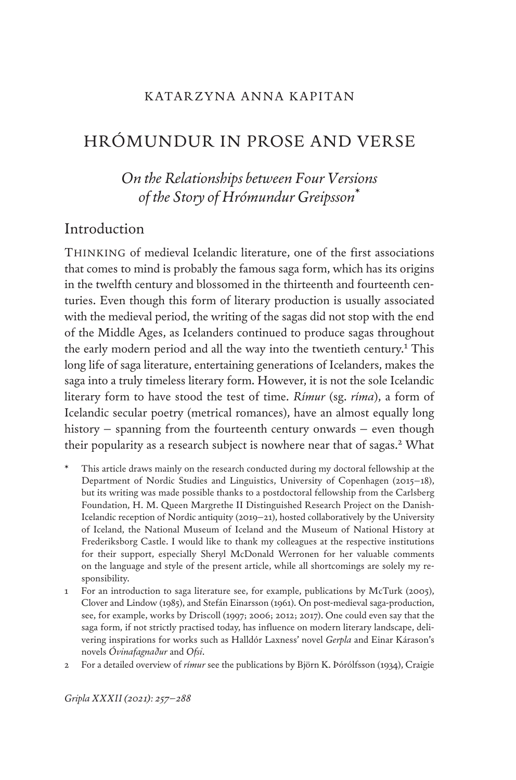## KATARZYNA ANNA KAPITAN

# HRÓMUNDUR IN PROSE AND VERSE

# *On the Relationships between Four Versions of the Story of Hrómundur Greipsson*\*

# Introduction

Thinking of medieval Icelandic literature, one of the first associations that comes to mind is probably the famous saga form, which has its origins in the twelfth century and blossomed in the thirteenth and fourteenth centuries. Even though this form of literary production is usually associated with the medieval period, the writing of the sagas did not stop with the end of the Middle Ages, as Icelanders continued to produce sagas throughout the early modern period and all the way into the twentieth century.<sup>1</sup> This long life of saga literature, entertaining generations of Icelanders, makes the saga into a truly timeless literary form. However, it is not the sole Icelandic literary form to have stood the test of time. *Rímur* (sg. *ríma*), a form of Icelandic secular poetry (metrical romances), have an almost equally long history – spanning from the fourteenth century onwards – even though their popularity as a research subject is nowhere near that of sagas.<sup>2</sup> What

- This article draws mainly on the research conducted during my doctoral fellowship at the Department of Nordic Studies and Linguistics, University of Copenhagen (2015–18), but its writing was made possible thanks to a postdoctoral fellowship from the Carlsberg Foundation, H. M. Queen Margrethe II Distinguished Research Project on the Danish-Icelandic reception of Nordic antiquity (2019–21), hosted collaboratively by the University of Iceland, the National Museum of Iceland and the Museum of National History at Frederiksborg Castle. I would like to thank my colleagues at the respective institutions for their support, especially Sheryl McDonald Werronen for her valuable comments on the language and style of the present article, while all shortcomings are solely my responsibility.
- 1 For an introduction to saga literature see, for example, publications by McTurk (2005), Clover and Lindow (1985), and Stefán Einarsson (1961). On post-medieval saga-production, see, for example, works by Driscoll (1997; 2006; 2012; 2017). One could even say that the saga form, if not strictly practised today, has influence on modern literary landscape, delivering inspirations for works such as Halldór Laxness' novel *Gerpla* and Einar Kárason's novels *Óvinafagnaður* and *Ofsi*.
- 2 For a detailed overview of *rímur* see the publications by Björn K. Þórólfsson (1934), Craigie

*Gripla XXXII (2021): 257–288*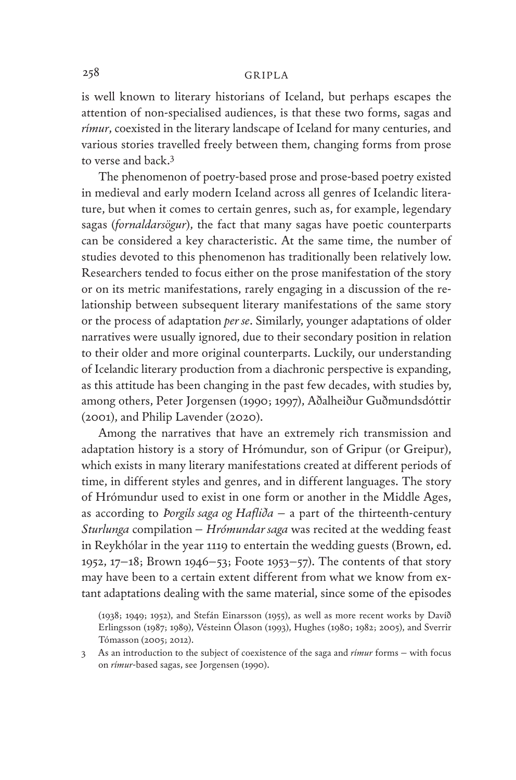is well known to literary historians of Iceland, but perhaps escapes the attention of non-specialised audiences, is that these two forms, sagas and *rímur*, coexisted in the literary landscape of Iceland for many centuries, and various stories travelled freely between them, changing forms from prose to verse and back.3

The phenomenon of poetry-based prose and prose-based poetry existed in medieval and early modern Iceland across all genres of Icelandic literature, but when it comes to certain genres, such as, for example, legendary sagas (*fornaldarsögur*), the fact that many sagas have poetic counterparts can be considered a key characteristic. At the same time, the number of studies devoted to this phenomenon has traditionally been relatively low. Researchers tended to focus either on the prose manifestation of the story or on its metric manifestations, rarely engaging in a discussion of the relationship between subsequent literary manifestations of the same story or the process of adaptation *per se*. Similarly, younger adaptations of older narratives were usually ignored, due to their secondary position in relation to their older and more original counterparts. Luckily, our understanding of Icelandic literary production from a diachronic perspective is expanding, as this attitude has been changing in the past few decades, with studies by, among others, Peter Jorgensen (1990; 1997), Aðalheiður Guðmundsdóttir (2001), and Philip Lavender (2020).

Among the narratives that have an extremely rich transmission and adaptation history is a story of Hrómundur, son of Gripur (or Greipur), which exists in many literary manifestations created at different periods of time, in different styles and genres, and in different languages. The story of Hrómundur used to exist in one form or another in the Middle Ages, as according to *Þorgils saga og Hafliða* – a part of the thirteenth-century *Sturlunga* compilation – *Hrómundar saga* was recited at the wedding feast in Reykhólar in the year 1119 to entertain the wedding guests (Brown, ed. 1952, 17–18; Brown 1946–53; Foote 1953–57). The contents of that story may have been to a certain extent different from what we know from extant adaptations dealing with the same material, since some of the episodes

<sup>(1938; 1949; 1952),</sup> and Stefán Einarsson (1955), as well as more recent works by Davíð Erlingsson (1987; 1989), Vésteinn Ólason (1993), Hughes (1980; 1982; 2005), and Sverrir Tómasson (2005; 2012).

<sup>3</sup> As an introduction to the subject of coexistence of the saga and *rímur* forms – with focus on *rímur*-based sagas, see Jorgensen (1990).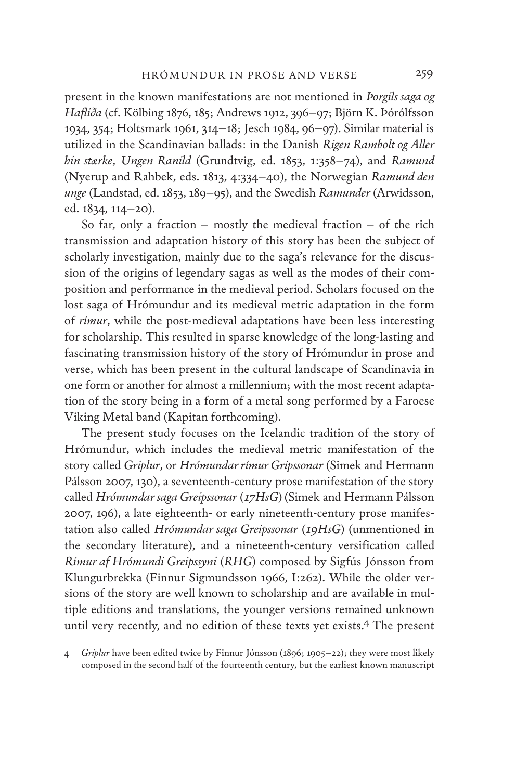present in the known manifestations are not mentioned in *Þorgils saga og Hafliða* (cf. Kölbing 1876, 185; Andrews 1912, 396–97; Björn K. Þórólfsson 1934, 354; Holtsmark 1961, 314–18; Jesch 1984, 96–97). Similar material is utilized in the Scandinavian ballads: in the Danish *Rigen Rambolt og Aller hin stærke*, *Ungen Ranild* (Grundtvig, ed. 1853, 1:358–74), and *Ramund* (Nyerup and Rahbek, eds. 1813, 4:334–40), the Norwegian *Ramund den unge* (Landstad, ed. 1853, 189–95), and the Swedish *Ramunder* (Arwidsson, ed. 1834, 114–20).

So far, only a fraction – mostly the medieval fraction – of the rich transmission and adaptation history of this story has been the subject of scholarly investigation, mainly due to the saga's relevance for the discussion of the origins of legendary sagas as well as the modes of their composition and performance in the medieval period. Scholars focused on the lost saga of Hrómundur and its medieval metric adaptation in the form of *rímur*, while the post-medieval adaptations have been less interesting for scholarship. This resulted in sparse knowledge of the long-lasting and fascinating transmission history of the story of Hrómundur in prose and verse, which has been present in the cultural landscape of Scandinavia in one form or another for almost a millennium; with the most recent adaptation of the story being in a form of a metal song performed by a Faroese Viking Metal band (Kapitan forthcoming).

The present study focuses on the Icelandic tradition of the story of Hrómundur, which includes the medieval metric manifestation of the story called *Griplur*, or *Hrómundar rímur Gripssonar* (Simek and Hermann Pálsson 2007, 130), a seventeenth-century prose manifestation of the story called *Hrómundar saga Greipssonar* (*17HsG*) (Simek and Hermann Pálsson 2007, 196), a late eighteenth- or early nineteenth-century prose manifestation also called *Hrómundar saga Greipssonar* (*19HsG*) (unmentioned in the secondary literature), and a nineteenth-century versification called *Rímur af Hrómundi Greipssyni* (*RHG*) composed by Sigfús Jónsson from Klungurbrekka (Finnur Sigmundsson 1966, I:262). While the older versions of the story are well known to scholarship and are available in multiple editions and translations, the younger versions remained unknown until very recently, and no edition of these texts yet exists.4 The present

4 *Griplur* have been edited twice by Finnur Jónsson (1896; 1905–22); they were most likely composed in the second half of the fourteenth century, but the earliest known manuscript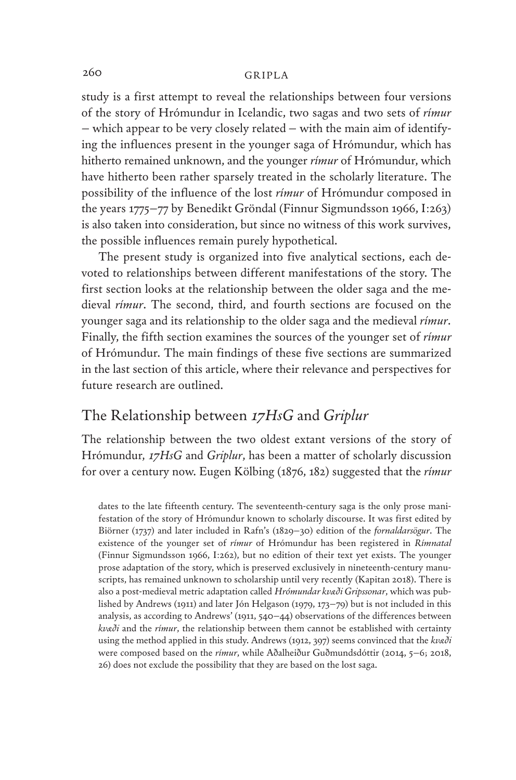study is a first attempt to reveal the relationships between four versions of the story of Hrómundur in Icelandic, two sagas and two sets of *rímur* – which appear to be very closely related – with the main aim of identifying the influences present in the younger saga of Hrómundur, which has hitherto remained unknown, and the younger *rímur* of Hrómundur, which have hitherto been rather sparsely treated in the scholarly literature. The possibility of the influence of the lost *rímur* of Hrómundur composed in the years 1775–77 by Benedikt Gröndal (Finnur Sigmundsson 1966, I:263) is also taken into consideration, but since no witness of this work survives, the possible influences remain purely hypothetical.

The present study is organized into five analytical sections, each devoted to relationships between different manifestations of the story. The first section looks at the relationship between the older saga and the medieval *rímur*. The second, third, and fourth sections are focused on the younger saga and its relationship to the older saga and the medieval *rímur*. Finally, the fifth section examines the sources of the younger set of *rímur* of Hrómundur. The main findings of these five sections are summarized in the last section of this article, where their relevance and perspectives for future research are outlined.

# The Relationship between *17HsG* and *Griplur*

The relationship between the two oldest extant versions of the story of Hrómundur, *17HsG* and *Griplur*, has been a matter of scholarly discussion for over a century now. Eugen Kölbing (1876, 182) suggested that the *rímur*

dates to the late fifteenth century. The seventeenth-century saga is the only prose manifestation of the story of Hrómundur known to scholarly discourse. It was first edited by Biörner (1737) and later included in Rafn's (1829–30) edition of the *fornaldarsögur*. The existence of the younger set of *rímur* of Hrómundur has been registered in *Rímnatal* (Finnur Sigmundsson 1966, I:262), but no edition of their text yet exists. The younger prose adaptation of the story, which is preserved exclusively in nineteenth-century manuscripts, has remained unknown to scholarship until very recently (Kapitan 2018). There is also a post-medieval metric adaptation called *Hrómundar kvæði Gripssonar*, which was published by Andrews (1911) and later Jón Helgason (1979, 173–79) but is not included in this analysis, as according to Andrews' (1911, 540–44) observations of the differences between *kvæði* and the *rímur*, the relationship between them cannot be established with certainty using the method applied in this study. Andrews (1912, 397) seems convinced that the *kvæði* were composed based on the *rímur*, while Aðalheiður Guðmundsdóttir (2014, 5–6; 2018, 26) does not exclude the possibility that they are based on the lost saga.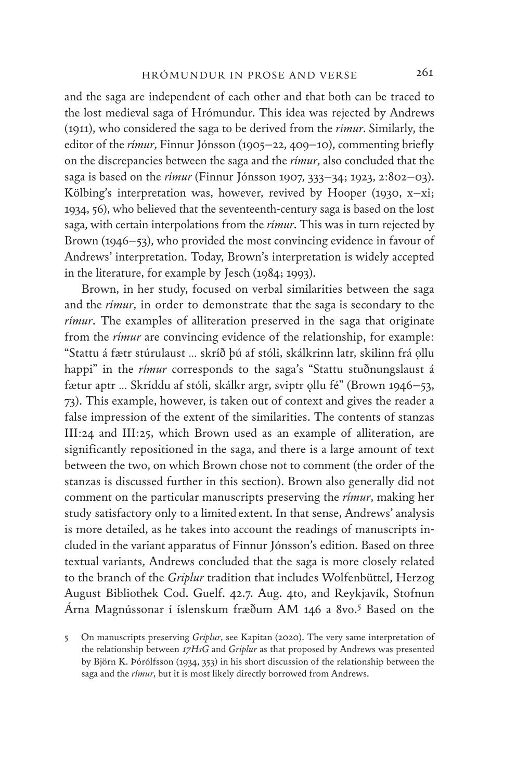and the saga are independent of each other and that both can be traced to the lost medieval saga of Hrómundur. This idea was rejected by Andrews (1911), who considered the saga to be derived from the *rímur*. Similarly, the editor of the *rímur*, Finnur Jónsson (1905–22, 409–10), commenting briefly on the discrepancies between the saga and the *rímur*, also concluded that the saga is based on the *rímur* (Finnur Jónsson 1907, 333–34; 1923, 2:802–03). Kölbing's interpretation was, however, revived by Hooper (1930, x-xi; 1934, 56), who believed that the seventeenth-century saga is based on the lost saga, with certain interpolations from the *rímur*. This was in turn rejected by Brown (1946–53), who provided the most convincing evidence in favour of Andrews' interpretation. Today, Brown's interpretation is widely accepted in the literature, for example by Jesch (1984; 1993).

Brown, in her study, focused on verbal similarities between the saga and the *rímur*, in order to demonstrate that the saga is secondary to the *rímur*. The examples of alliteration preserved in the saga that originate from the *rímur* are convincing evidence of the relationship, for example: "Stattu á fætr stúrulaust … skríð þú af stóli, skálkrinn latr, skilinn frá ǫllu happi" in the *rímur* corresponds to the saga's "Stattu stuðnungslaust á fætur aptr ... Skríddu af stóli, skálkr argr, sviptr ollu fé" (Brown 1946–53, 73). This example, however, is taken out of context and gives the reader a false impression of the extent of the similarities. The contents of stanzas III:24 and III:25, which Brown used as an example of alliteration, are significantly repositioned in the saga, and there is a large amount of text between the two, on which Brown chose not to comment (the order of the stanzas is discussed further in this section). Brown also generally did not comment on the particular manuscripts preserving the *rímur*, making her study satisfactory only to a limited extent. In that sense, Andrews' analysis is more detailed, as he takes into account the readings of manuscripts included in the variant apparatus of Finnur Jónsson's edition. Based on three textual variants, Andrews concluded that the saga is more closely related to the branch of the *Griplur* tradition that includes Wolfenbüttel, Herzog August Bibliothek Cod. Guelf. 42.7. Aug. 4to, and Reykjavík, Stofnun Árna Magnússonar í íslenskum fræðum AM 146 a 8vo.5 Based on the

<sup>5</sup> On manuscripts preserving *Griplur*, see Kapitan (2020). The very same interpretation of the relationship between *17HsG* and *Griplur* as that proposed by Andrews was presented by Björn K. Þórólfsson (1934, 353) in his short discussion of the relationship between the saga and the *rímur*, but it is most likely directly borrowed from Andrews.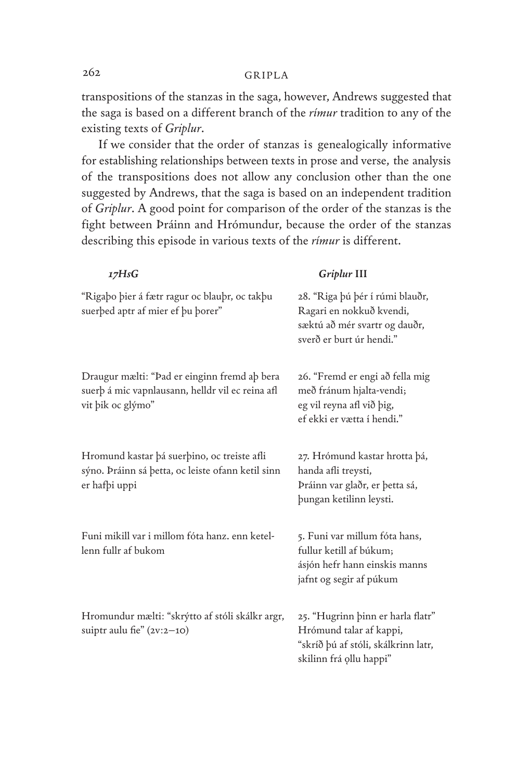transpositions of the stanzas in the saga, however, Andrews suggested that the saga is based on a different branch of the *rímur* tradition to any of the existing texts of *Griplur*.

If we consider that the order of stanzas is genealogically informative for establishing relationships between texts in prose and verse, the analysis of the transpositions does not allow any conclusion other than the one suggested by Andrews, that the saga is based on an independent tradition of *Griplur*. A good point for comparison of the order of the stanzas is the fight between Þráinn and Hrómundur, because the order of the stanzas describing this episode in various texts of the *rímur* is different.

#### *17HsG Griplur* **III**

| "Rigaþo þier á fætr ragur oc blauþr, oc takþu<br>suerbed aptr af mier ef bu borer"                                    | 28. "Riga þú þér í rúmi blauðr,<br>Ragari en nokkuð kvendi,<br>sæktú að mér svartr og dauðr,<br>sverð er burt úr hendi."       |
|-----------------------------------------------------------------------------------------------------------------------|--------------------------------------------------------------------------------------------------------------------------------|
| Draugur mælti: "Þad er einginn fremd aþ bera<br>suerþ á mic vapnlausann, helldr vil ec reina afl<br>vit bik oc glýmo" | 26. "Fremd er engi að fella mig<br>með fránum hjalta-vendi;<br>eg vil reyna afl við þig,<br>ef ekki er vætta í hendi."         |
| Hromund kastar þá suerþino, oc treiste afli<br>sýno. Þráinn sá þetta, oc leiste ofann ketil sinn<br>er hafþi uppi     | 27. Hrómund kastar hrotta þá,<br>handa afli treysti,<br>Þráinn var glaðr, er þetta sá,<br>bungan ketilinn leysti.              |
| Funi mikill var i millom fóta hanz. enn ketel-<br>lenn fullr af bukom                                                 | 5. Funi var millum fóta hans,<br>fullur ketill af búkum;<br>ásjón hefr hann einskis manns<br>jafnt og segir af púkum           |
| Hromundur mælti: "skrýtto af stóli skálkr argr,<br>suiptr aulu fie" $(2v:2-10)$                                       | 25. "Hugrinn þinn er harla flatr"<br>Hrómund talar af kappi,<br>"skríð þú af stóli, skálkrinn latr,<br>skilinn frá ollu happi" |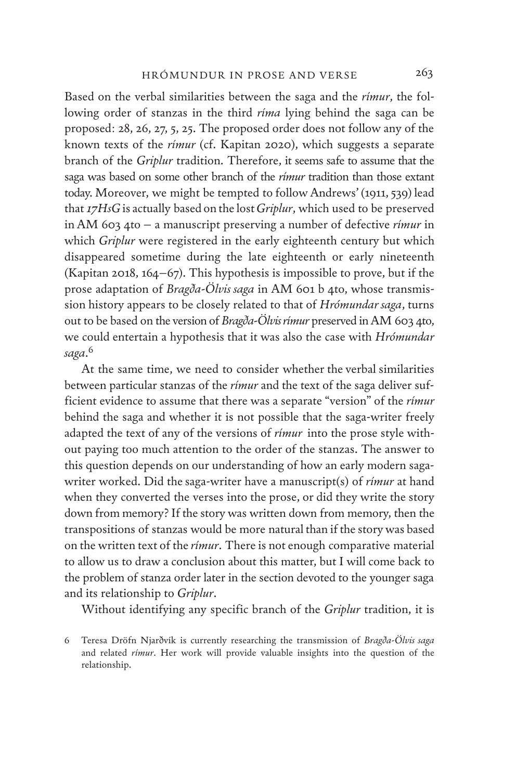Based on the verbal similarities between the saga and the *rímur*, the following order of stanzas in the third *ríma* lying behind the saga can be proposed: 28, 26, 27, 5, 25. The proposed order does not follow any of the known texts of the *rímur* (cf. Kapitan 2020), which suggests a separate branch of the *Griplur* tradition. Therefore, it seems safe to assume that the saga was based on some other branch of the *rímur* tradition than those extant today. Moreover, we might be tempted to follow Andrews' (1911, 539) lead that *17HsG* is actually based on the lost *Griplur*, which used to be preserved in AM 603 4to – a manuscript preserving a number of defective *rímur* in which *Griplur* were registered in the early eighteenth century but which disappeared sometime during the late eighteenth or early nineteenth (Kapitan 2018, 164–67). This hypothesis is impossible to prove, but if the prose adaptation of *Bragða-Ölvis saga* in AM 601 b 4to, whose transmission history appears to be closely related to that of *Hrómundar saga*, turns out to be based on the version of *Bragða-Ölvis rímur* preserved in AM 603 4to, we could entertain a hypothesis that it was also the case with *Hrómundar saga*. 6

At the same time, we need to consider whether the verbal similarities between particular stanzas of the *rímur* and the text of the saga deliver sufficient evidence to assume that there was a separate "version" of the *rímur* behind the saga and whether it is not possible that the saga-writer freely adapted the text of any of the versions of *rímur* into the prose style without paying too much attention to the order of the stanzas. The answer to this question depends on our understanding of how an early modern sagawriter worked. Did the saga-writer have a manuscript(s) of *rímur* at hand when they converted the verses into the prose, or did they write the story down from memory? If the story was written down from memory, then the transpositions of stanzas would be more natural than if the story was based on the written text of the *rímur*. There is not enough comparative material to allow us to draw a conclusion about this matter, but I will come back to the problem of stanza order later in the section devoted to the younger saga and its relationship to *Griplur*.

Without identifying any specific branch of the *Griplur* tradition, it is

<sup>6</sup> Teresa Dröfn Njarðvík is currently researching the transmission of *Bragða-Ölvis saga* and related *rímur*. Her work will provide valuable insights into the question of the relationship.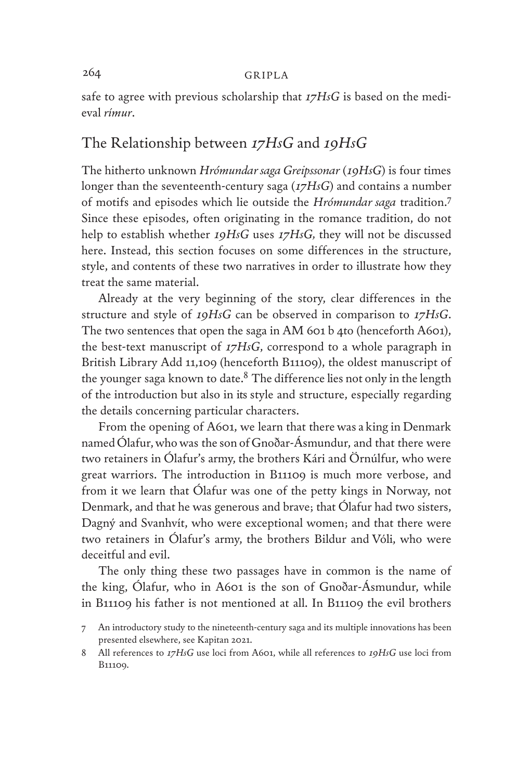safe to agree with previous scholarship that *17HsG* is based on the medieval *rímur*.

# The Relationship between *17HsG* and *19HsG*

The hitherto unknown *Hrómundar saga Greipssonar* (*19HsG*) is four times longer than the seventeenth-century saga (*17HsG*) and contains a number of motifs and episodes which lie outside the *Hrómundar saga* tradition.7 Since these episodes, often originating in the romance tradition, do not help to establish whether *19HsG* uses *17HsG,* they will not be discussed here. Instead, this section focuses on some differences in the structure, style, and contents of these two narratives in order to illustrate how they treat the same material.

Already at the very beginning of the story, clear differences in the structure and style of *19HsG* can be observed in comparison to *17HsG*. The two sentences that open the saga in AM 601 b 4to (henceforth A601), the best-text manuscript of *17HsG*, correspond to a whole paragraph in British Library Add 11,109 (henceforth B11109), the oldest manuscript of the younger saga known to date. $8$  The difference lies not only in the length of the introduction but also in its style and structure, especially regarding the details concerning particular characters.

From the opening of A601, we learn that there was a king in Denmark named Ólafur, who was the son of Gnoðar-Ásmundur, and that there were two retainers in Ólafur's army, the brothers Kári and Örnúlfur, who were great warriors. The introduction in B11109 is much more verbose, and from it we learn that Ólafur was one of the petty kings in Norway, not Denmark, and that he was generous and brave; that Ólafur had two sisters, Dagný and Svanhvít, who were exceptional women; and that there were two retainers in Ólafur's army, the brothers Bildur and Vóli, who were deceitful and evil.

The only thing these two passages have in common is the name of the king, Ólafur, who in A601 is the son of Gnoðar-Ásmundur, while in B11109 his father is not mentioned at all. In B11109 the evil brothers

<sup>7</sup> An introductory study to the nineteenth-century saga and its multiple innovations has been presented elsewhere, see Kapitan 2021.

<sup>8</sup> All references to *17HsG* use loci from A601, while all references to *19HsG* use loci from B11109.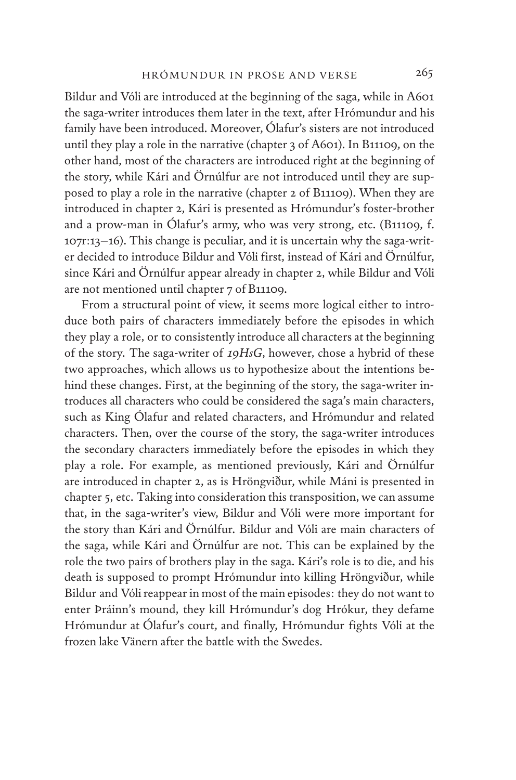Bildur and Vóli are introduced at the beginning of the saga, while in A601 the saga-writer introduces them later in the text, after Hrómundur and his family have been introduced. Moreover, Ólafur's sisters are not introduced until they play a role in the narrative (chapter 3 of A601). In B11109, on the other hand, most of the characters are introduced right at the beginning of the story, while Kári and Örnúlfur are not introduced until they are supposed to play a role in the narrative (chapter 2 of B11109). When they are introduced in chapter 2, Kári is presented as Hrómundur's foster-brother and a prow-man in Ólafur's army, who was very strong, etc. (B11109, f. 107r:13–16). This change is peculiar, and it is uncertain why the saga-writer decided to introduce Bildur and Vóli first, instead of Kári and Örnúlfur, since Kári and Örnúlfur appear already in chapter 2, while Bildur and Vóli are not mentioned until chapter 7 of B11109.

From a structural point of view, it seems more logical either to introduce both pairs of characters immediately before the episodes in which they play a role, or to consistently introduce all characters at the beginning of the story. The saga-writer of *19HsG*, however, chose a hybrid of these two approaches, which allows us to hypothesize about the intentions behind these changes. First, at the beginning of the story, the saga-writer introduces all characters who could be considered the saga's main characters, such as King Ólafur and related characters, and Hrómundur and related characters. Then, over the course of the story, the saga-writer introduces the secondary characters immediately before the episodes in which they play a role. For example, as mentioned previously, Kári and Örnúlfur are introduced in chapter 2, as is Hröngviður, while Máni is presented in chapter 5, etc. Taking into consideration this transposition, we can assume that, in the saga-writer's view, Bildur and Vóli were more important for the story than Kári and Örnúlfur. Bildur and Vóli are main characters of the saga, while Kári and Örnúlfur are not. This can be explained by the role the two pairs of brothers play in the saga. Kári's role is to die, and his death is supposed to prompt Hrómundur into killing Hröngviður, while Bildur and Vóli reappear in most of the main episodes: they do not want to enter Þráinn's mound, they kill Hrómundur's dog Hrókur, they defame Hrómundur at Ólafur's court, and finally, Hrómundur fights Vóli at the frozen lake Vänern after the battle with the Swedes.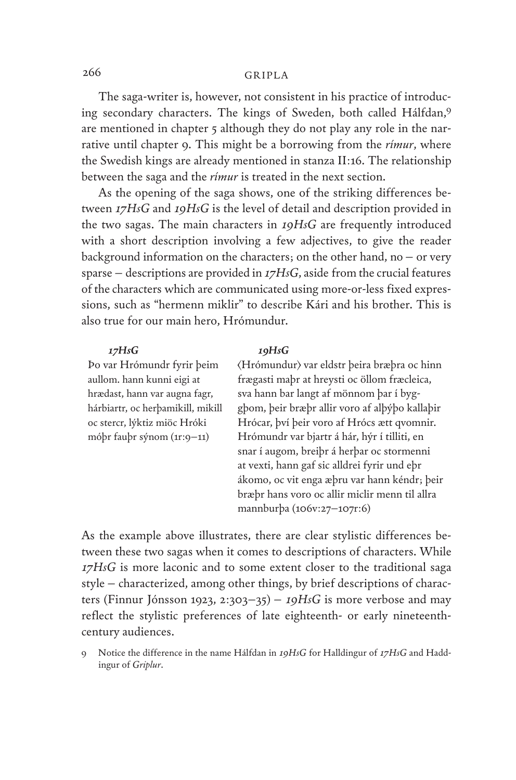The saga-writer is, however, not consistent in his practice of introducing secondary characters. The kings of Sweden, both called Hálfdan,9 are mentioned in chapter 5 although they do not play any role in the narrative until chapter 9. This might be a borrowing from the *rímur*, where the Swedish kings are already mentioned in stanza II:16. The relationship between the saga and the *rímur* is treated in the next section.

As the opening of the saga shows, one of the striking differences between *17HsG* and *19HsG* is the level of detail and description provided in the two sagas. The main characters in *19HsG* are frequently introduced with a short description involving a few adjectives, to give the reader background information on the characters; on the other hand, no  $-$  or very sparse – descriptions are provided in *17HsG*, aside from the crucial features of the characters which are communicated using more-or-less fixed expressions, such as "hermenn miklir" to describe Kári and his brother. This is also true for our main hero, Hrómundur.

Þo var Hrómundr fyrir þeim aullom. hann kunni eigi at hrædast, hann var augna fagr, hárbiartr, oc herþamikill, mikill oc stercr, lýktiz miöc Hróki móþr fauþr sýnom (1r:9–11)

#### *17HsG 19HsG*

⟨Hrómundur⟩ var eldstr þeira bræþra oc hinn frægasti maþr at hreysti oc öllom fræcleica, sva hann bar langt af mönnom þar í byggþom, þeir bræþr allir voro af alþýþo kallaþir Hrócar, því þeir voro af Hrócs ætt qvomnir. Hrómundr var bjartr á hár, hýr í tilliti, en snar í augom, breiþr á herþar oc stormenni at vexti, hann gaf sic alldrei fyrir und eþr ákomo, oc vit enga æþru var hann kéndr; þeir bræþr hans voro oc allir miclir menn til allra mannburþa (106v:27–107r:6)

As the example above illustrates, there are clear stylistic differences between these two sagas when it comes to descriptions of characters. While *17HsG* is more laconic and to some extent closer to the traditional saga style – characterized, among other things, by brief descriptions of characters (Finnur Jónsson 1923, 2:303–35) – *19HsG* is more verbose and may reflect the stylistic preferences of late eighteenth- or early nineteenthcentury audiences.

<sup>9</sup> Notice the difference in the name Hálfdan in *19HsG* for Halldingur of *17HsG* and Haddingur of *Griplur*.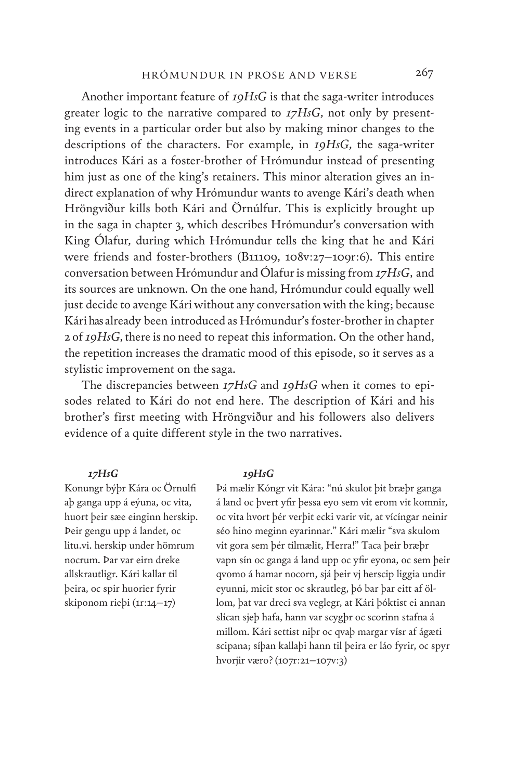Another important feature of *19HsG* is that the saga-writer introduces greater logic to the narrative compared to *17HsG*, not only by presenting events in a particular order but also by making minor changes to the descriptions of the characters. For example, in *19HsG*, the saga-writer introduces Kári as a foster-brother of Hrómundur instead of presenting him just as one of the king's retainers. This minor alteration gives an indirect explanation of why Hrómundur wants to avenge Kári's death when Hröngviður kills both Kári and Örnúlfur. This is explicitly brought up in the saga in chapter 3, which describes Hrómundur's conversation with King Ólafur, during which Hrómundur tells the king that he and Kári were friends and foster-brothers (B11109, 108v:27–109r:6). This entire conversation between Hrómundur and Ólafur is missing from *17HsG*, and its sources are unknown. On the one hand, Hrómundur could equally well just decide to avenge Kári without any conversation with the king; because Kári has already been introduced as Hrómundur's foster-brother in chapter 2 of *19HsG*, there is no need to repeat this information. On the other hand, the repetition increases the dramatic mood of this episode, so it serves as a stylistic improvement on the saga.

The discrepancies between *17HsG* and *19HsG* when it comes to episodes related to Kári do not end here. The description of Kári and his brother's first meeting with Hröngviður and his followers also delivers evidence of a quite different style in the two narratives.

#### *17HsG*

Konungr býþr Kára oc Örnulfi aþ ganga upp á eýuna, oc vita, huort þeir sæe einginn herskip. Þeir gengu upp á landet, oc litu.vi. herskip under hömrum nocrum. Þar var eirn dreke allskrautligr. Kári kallar til þeira, oc spir huorier fyrir skiponom rieþi (1r:14–17)

#### *19HsG*

Þá mælir Kóngr vit Kára: "nú skulot þit bræþr ganga á land oc þvert yfir þessa eyo sem vit erom vit komnir, oc vita hvort þér verþit ecki varir vit, at vícíngar neinir séo hino meginn eyarinnar." Kári mælir "sva skulom vit gora sem þér tilmælit, Herra!" Taca þeir bræþr vapn sín oc ganga á land upp oc yfir eyona, oc sem þeir qvomo á hamar nocorn, sjá þeir vj herscip liggia undir eyunni, micit stor oc skrautleg, þó bar þar eitt af öllom, þat var dreci sva veglegr, at Kári þóktist ei annan slícan sjeþ hafa, hann var scygþr oc scorinn stafna á millom. Kári settist niþr oc qvaþ margar vísr af ágæti scipana; síþan kallaþi hann til þeira er láo fyrir, oc spyr hvorjir væro? (107r:21–107v:3)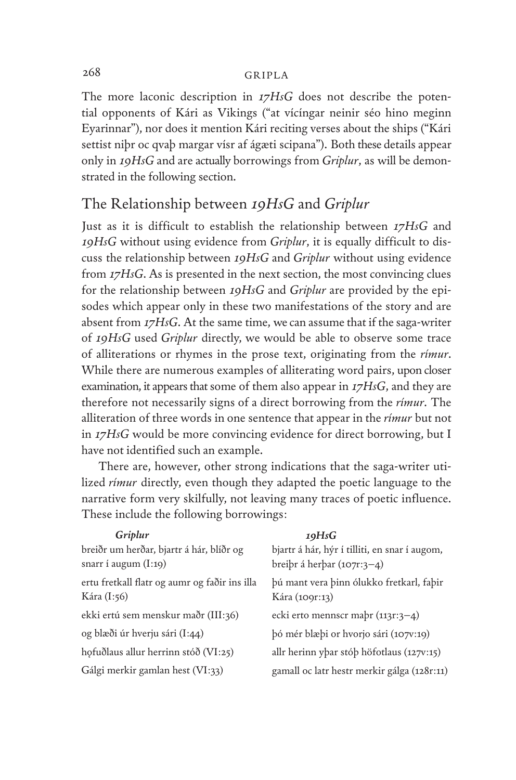The more laconic description in *17HsG* does not describe the potential opponents of Kári as Vikings ("at vícíngar neinir séo hino meginn Eyarinnar"), nor does it mention Kári reciting verses about the ships ("Kári settist niþr oc qvaþ margar vísr af ágæti scipana"). Both these details appear only in *19HsG* and are actually borrowings from *Griplur*, as will be demonstrated in the following section.

# The Relationship between *19HsG* and *Griplur*

Just as it is difficult to establish the relationship between *17HsG* and *19HsG* without using evidence from *Griplur*, it is equally difficult to discuss the relationship between *19HsG* and *Griplur* without using evidence from *17HsG*. As is presented in the next section, the most convincing clues for the relationship between *19HsG* and *Griplur* are provided by the episodes which appear only in these two manifestations of the story and are absent from *17HsG*. At the same time, we can assume that if the saga-writer of *19HsG* used *Griplur* directly, we would be able to observe some trace of alliterations or rhymes in the prose text, originating from the *rímur*. While there are numerous examples of alliterating word pairs, upon closer examination, it appears that some of them also appear in *17HsG*, and they are therefore not necessarily signs of a direct borrowing from the *rímur*. The alliteration of three words in one sentence that appear in the *rímur* but not in *17HsG* would be more convincing evidence for direct borrowing, but I have not identified such an example.

There are, however, other strong indications that the saga-writer utilized *rímur* directly, even though they adapted the poetic language to the narrative form very skilfully, not leaving many traces of poetic influence. These include the following borrowings:

| Griplur                                       | 19HsG                                         |
|-----------------------------------------------|-----------------------------------------------|
| breiðr um herðar, bjartr á hár, blíðr og      | bjartr á hár, hýr í tilliti, en snar í augom, |
| snarr í augum $(I:19)$                        | breiþr á herþar (107 $r:3-4$ )                |
| ertu fretkall flatr og aumr og faðir ins illa | þú mant vera þinn ólukko fretkarl, faþir      |
| Kára (I:56)                                   | Kára (1091:13)                                |
| ekki ertú sem menskur maðr (III:36)           | ecki erto mennscr mabr $(113r:3-4)$           |
| og blæði úr hverju sári (I:44)                | bó mér blæbi or hvorjo sári (107v:19)         |
| hofuðlaus allur herrinn stóð (VI:25)          | allr herinn yþar stóþ höfotlaus (127v:15)     |
| Gálgi merkir gamlan hest (VI:33)              | gamall oc latr hestr merkir gálga (128r:11)   |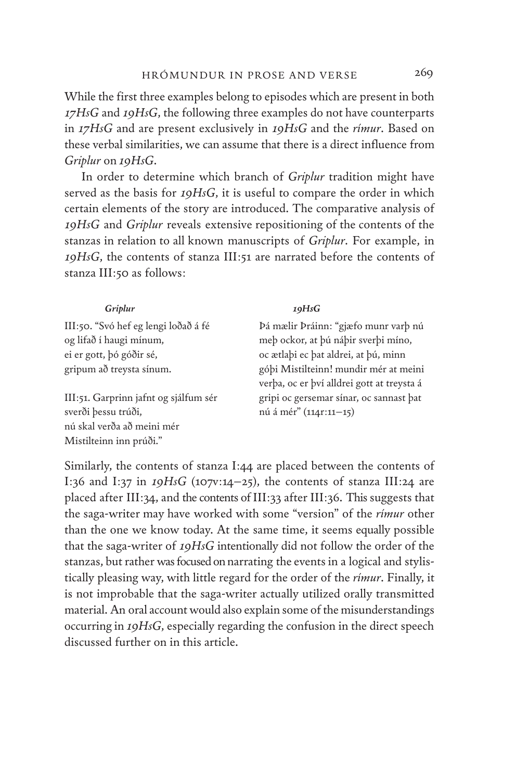While the first three examples belong to episodes which are present in both *17HsG* and *19HsG*, the following three examples do not have counterparts in *17HsG* and are present exclusively in *19HsG* and the *rímur*. Based on these verbal similarities, we can assume that there is a direct influence from *Griplur* on *19HsG*.

In order to determine which branch of *Griplur* tradition might have served as the basis for *19HsG*, it is useful to compare the order in which certain elements of the story are introduced. The comparative analysis of *19HsG* and *Griplur* reveals extensive repositioning of the contents of the stanzas in relation to all known manuscripts of *Griplur*. For example, in *19HsG*, the contents of stanza III:51 are narrated before the contents of stanza III:50 as follows:

| Griplur                               | 19HsG                                      |
|---------------------------------------|--------------------------------------------|
| III:50. "Svó hef eg lengi loðað á fé  | Þá mælir Þráinn: "gjæfo munr varþ nú       |
| og lifað í haugi mínum,               | meþ ockor, at þú náþir sverþi míno,        |
| ei er gott, þó góðir sé,              | oc ætlabi ec bat aldrei, at bú, minn       |
| gripum að treysta sínum.              | góbi Mistilteinn! mundir mér at meini      |
|                                       | verba, oc er bví alldrei gott at treysta á |
| III:51. Garprinn jafnt og sjálfum sér | gripi oc gersemar sínar, oc sannast bat    |
| sverði þessu trúði,                   | nú á mér" (1141:11-15)                     |
| nú skal verða að meini mér            |                                            |
| Mistilteinn inn prúði."               |                                            |

Similarly, the contents of stanza I:44 are placed between the contents of I:36 and I:37 in *19HsG* (107v:14–25), the contents of stanza III:24 are placed after III:34, and the contents of III:33 after III:36. This suggests that the saga-writer may have worked with some "version" of the *rímur* other than the one we know today. At the same time, it seems equally possible that the saga-writer of *19HsG* intentionally did not follow the order of the stanzas, but rather was focused on narrating the events in a logical and stylistically pleasing way, with little regard for the order of the *rímur*. Finally, it is not improbable that the saga-writer actually utilized orally transmitted material. An oral account would also explain some of the misunderstandings occurring in *19HsG*, especially regarding the confusion in the direct speech discussed further on in this article.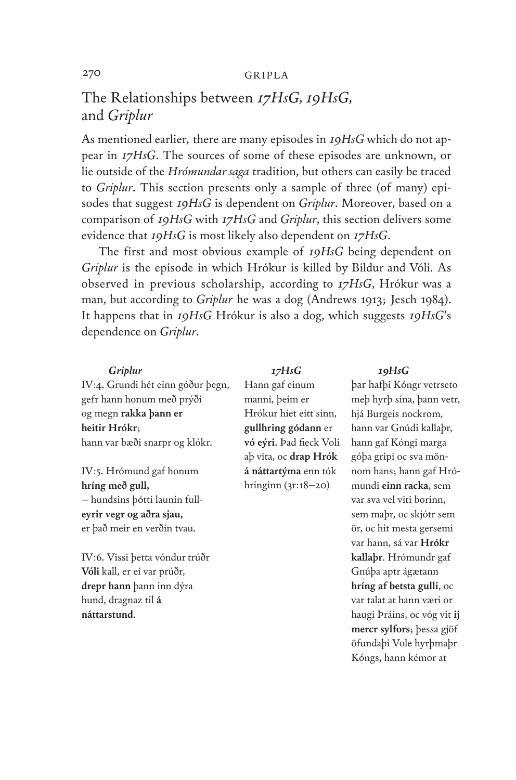# The Relationships between *17HsG, 19HsG,* and *Griplur*

As mentioned earlier, there are many episodes in *19HsG* which do not appear in *17HsG*. The sources of some of these episodes are unknown, or lie outside of the *Hrómundar saga* tradition, but others can easily be traced to *Griplur*. This section presents only a sample of three (of many) episodes that suggest *19HsG* is dependent on *Griplur*. Moreover, based on a comparison of *19HsG* with *17HsG* and *Griplur*, this section delivers some evidence that *19HsG* is most likely also dependent on *17HsG*.

The first and most obvious example of *19HsG* being dependent on *Griplur* is the episode in which Hrókur is killed by Bildur and Vóli. As observed in previous scholarship, according to *17HsG*, Hrókur was a man, but according to *Griplur* he was a dog (Andrews 1913; Jesch 1984). It happens that in *19HsG* Hrókur is also a dog, which suggests *19HsG*'s dependence on *Griplur*.

#### *Griplur*

IV:4. Grundi hét einn góður þegn, gefr hann honum með prýði og megn **rakka þann er heitir Hrókr**; hann var bæði snarpr og klókr.

IV:5. Hrómund gaf honum **hríng með gull,** – hundsins þótti launin full**eyrir vegr og aðra sjau,** er það meir en verðin tvau.

IV:6. Vissi þetta vóndur trúðr **Vóli** kall, er ei var prúðr, **drepr hann** þann inn dýra hund, dragnaz til **á náttarstund**.

#### *17HsG*

Hann gaf einum manni, þeim er Hrókur hiet eitt sinn, **gullhring gódann** er **vó eýri**. Þad fieck Voli aþ vita, oc **drap Hrók á náttartýma** enn tók hringinn (3r:18–20)

#### *19HsG*

þar hafþi Kóngr vetrseto meþ hyrþ sína, þann vetr, hjá Burgeis nockrom, hann var Gnúdi kallaþr, hann gaf Kóngi marga góþa gripi oc sva mönnom hans; hann gaf Hrómundi **einn racka**, sem var sva vel viti borinn, sem maþr, oc skjótr sem ör, oc hit mesta gersemi var hann, sá var **Hrókr kallaþr**. Hrómundr gaf Gnúþa aptr ágætann **hríng af betsta gulli**, oc var talat at hann væri or haugi Þráins, oc vóg vit **ij mercr sylfors**; þessa gjöf öfundaþi Vole hyrþmaþr Kóngs, hann kémor at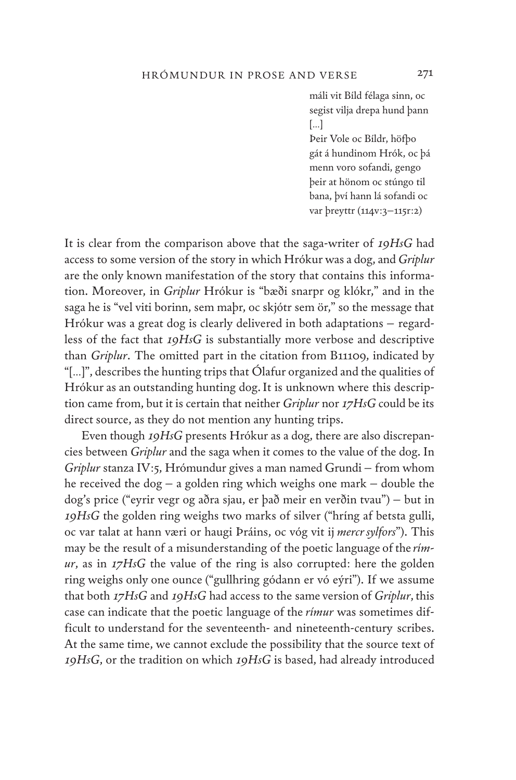máli vit Bíld félaga sinn, oc segist vilja drepa hund þann […]

Þeir Vole oc Bíldr, höfþo gát á hundinom Hrók, oc þá menn voro sofandi, gengo þeir at hönom oc stúngo til bana, því hann lá sofandi oc var þreyttr (114v:3-115r:2)

It is clear from the comparison above that the saga-writer of *19HsG* had access to some version of the story in which Hrókur was a dog, and *Griplur* are the only known manifestation of the story that contains this information. Moreover, in *Griplur* Hrókur is "bæði snarpr og klókr," and in the saga he is "vel viti borinn, sem maþr, oc skjótr sem ör," so the message that Hrókur was a great dog is clearly delivered in both adaptations – regardless of the fact that *19HsG* is substantially more verbose and descriptive than *Griplur*. The omitted part in the citation from B11109, indicated by "[…]", describes the hunting trips that Ólafur organized and the qualities of Hrókur as an outstanding hunting dog. It is unknown where this description came from, but it is certain that neither *Griplur* nor *17HsG* could be its direct source, as they do not mention any hunting trips.

Even though *19HsG* presents Hrókur as a dog, there are also discrepancies between *Griplur* and the saga when it comes to the value of the dog. In *Griplur* stanza IV:5, Hrómundur gives a man named Grundi – from whom he received the dog – a golden ring which weighs one mark – double the dog's price ("eyrir vegr og aðra sjau, er það meir en verðin tvau") – but in *19HsG* the golden ring weighs two marks of silver ("hríng af betsta gulli, oc var talat at hann væri or haugi Þráins, oc vóg vit ij *mercr sylfors*"). This may be the result of a misunderstanding of the poetic language of the *rímur*, as in *17HsG* the value of the ring is also corrupted: here the golden ring weighs only one ounce ("gullhring gódann er vó eýri"). If we assume that both *17HsG* and *19HsG* had access to the same version of *Griplur*, this case can indicate that the poetic language of the *rímur* was sometimes difficult to understand for the seventeenth- and nineteenth-century scribes. At the same time, we cannot exclude the possibility that the source text of *19HsG*, or the tradition on which *19HsG* is based, had already introduced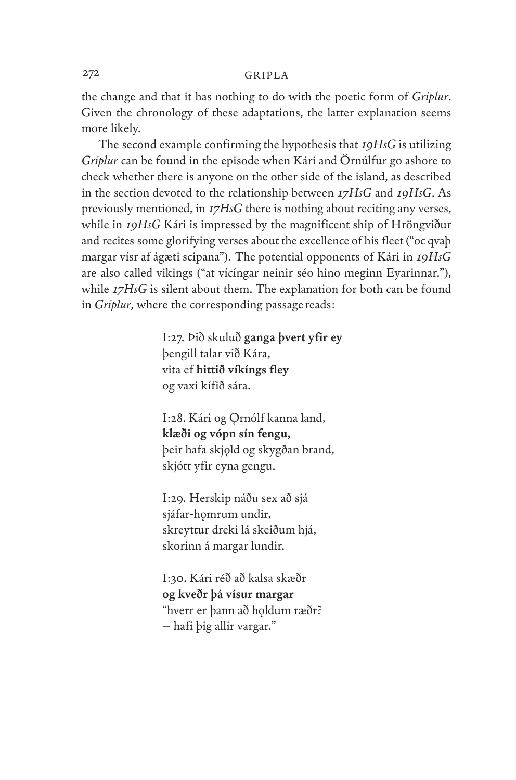the change and that it has nothing to do with the poetic form of *Griplur*. Given the chronology of these adaptations, the latter explanation seems more likely.

The second example confirming the hypothesis that *19HsG* is utilizing *Griplur* can be found in the episode when Kári and Örnúlfur go ashore to check whether there is anyone on the other side of the island, as described in the section devoted to the relationship between *17HsG* and *19HsG*. As previously mentioned, in *17HsG* there is nothing about reciting any verses, while in *19HsG* Kári is impressed by the magnificent ship of Hröngviður and recites some glorifying verses about the excellence of his fleet ("oc qvaþ margar vísr af ágæti scipana"). The potential opponents of Kári in *19HsG* are also called vikings ("at vícíngar neinir séo hino meginn Eyarinnar."), while *17HsG* is silent about them. The explanation for both can be found in *Griplur*, where the corresponding passage reads:

> I:27. Þið skuluð **ganga þvert yfir ey** þengill talar við Kára, vita ef **hittið víkíngs fley** og vaxi kífið sára.

I:28. Kári og Ornólf kanna land, **klæði og vópn sín fengu,** þeir hafa skjǫld og skygðan brand, skjótt yfir eyna gengu.

I:29. Herskip náðu sex að sjá sjáfar-hǫmrum undir, skreyttur dreki lá skeiðum hjá, skorinn á margar lundir.

I:30. Kári réð að kalsa skæðr **og kveðr þá vísur margar** "hverr er þann að hǫldum ræðr? – hafi þig allir vargar."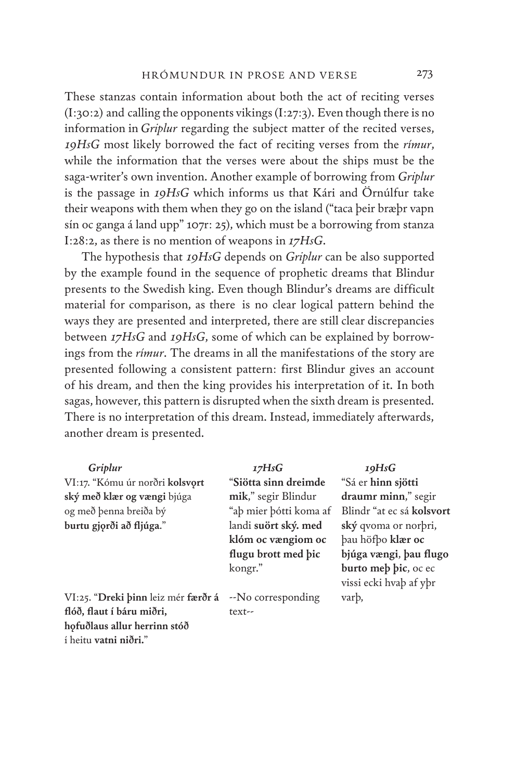These stanzas contain information about both the act of reciting verses (I:30:2) and calling the opponents vikings (I:27:3). Even though there is no information in *Griplur* regarding the subject matter of the recited verses, *19HsG* most likely borrowed the fact of reciting verses from the *rímur*, while the information that the verses were about the ships must be the saga-writer's own invention. Another example of borrowing from *Griplur* is the passage in *19HsG* which informs us that Kári and Örnúlfur take their weapons with them when they go on the island ("taca þeir bræþr vapn sín oc ganga á land upp" 107r: 25), which must be a borrowing from stanza I:28:2, as there is no mention of weapons in *17HsG*.

The hypothesis that *19HsG* depends on *Griplur* can be also supported by the example found in the sequence of prophetic dreams that Blindur presents to the Swedish king. Even though Blindur's dreams are difficult material for comparison, as there is no clear logical pattern behind the ways they are presented and interpreted, there are still clear discrepancies between *17HsG* and *19HsG*, some of which can be explained by borrowings from the *rímur*. The dreams in all the manifestations of the story are presented following a consistent pattern: first Blindur gives an account of his dream, and then the king provides his interpretation of it. In both sagas, however, this pattern is disrupted when the sixth dream is presented. There is no interpretation of this dream. Instead, immediately afterwards, another dream is presented.

| Griplur                             | 17HsG                       | 19HsG                     |
|-------------------------------------|-----------------------------|---------------------------|
| VI:17. "Kómu úr norðri kolsvort     | <b>"Siötta sinn dreimde</b> | "Sá er hinn sjötti        |
| ský með klær og vængi bjúga         | mik," segir Blindur         | draumr minn," segir       |
| og með þenna breiða bý              | "ab mier bótti koma af      | Blindr "at ec sá kolsvort |
| burtu gjorði að fljúga."            | landi suört ský. med        | ský gvoma or norbri,      |
|                                     | klóm oc vængiom oc          | bau höfbo klær oc         |
|                                     | flugu brott med bic         | bjúga vængi, þau flugo    |
|                                     | kongr."                     | burto meb bic, oc ec      |
|                                     |                             | vissi ecki hvab af ybr    |
| VI:25. "Dreki binn leiz mér færðr á | --No corresponding          | varb,                     |
| flóð, flaut í báru miðri,           | text--                      |                           |

**hǫfuðlaus allur herrinn stóð**

í heitu **vatni niðri.**"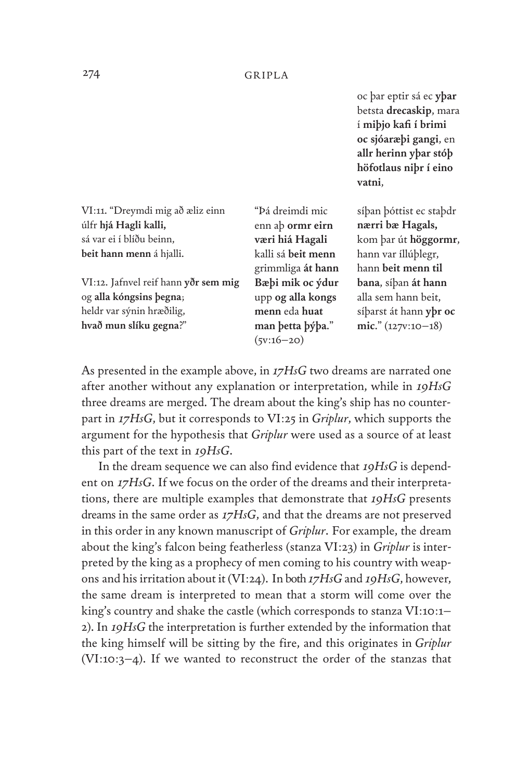oc þar eptir sá ec **yþar** betsta **drecaskip**, mara í **miþjo kafi í brimi oc sjóaræþi gangi**, en **allr herinn yþar stóþ höfotlaus niþr í eino vatni**,

| VI:11. "Dreymdi mig að æliz einn<br>úlfr hjá Hagli kalli,<br>sá var ei í blíðu beinn,<br>beit hann menn á hjalli.      | "Þá dreimdi mic<br>enn ab ormr eirn<br>væri hiá Hagali<br>kalli sá beit menn<br>grimmliga át hann | síban bóttist ec stabdr<br>nærri bæ Hagals,<br>kom þar út höggormr,<br>hann var íllúþlegr,<br>hann beit menn til |
|------------------------------------------------------------------------------------------------------------------------|---------------------------------------------------------------------------------------------------|------------------------------------------------------------------------------------------------------------------|
| VI:12. Jafnvel reif hann yðr sem mig<br>og alla kóngsins þegna;<br>heldr var sýnin hræðilig,<br>hvað mun slíku gegna?" | Bæþi mik oc ýdur<br>upp og alla kongs<br>menn eda huat<br>man betta býba."<br>$(5v:16-20)$        | bana, síban át hann<br>alla sem hann beit,<br>sí parst át hann y pr oc<br>mic." $(127v:10-18)$                   |

As presented in the example above, in *17HsG* two dreams are narrated one after another without any explanation or interpretation, while in *19HsG* three dreams are merged. The dream about the king's ship has no counterpart in *17HsG*, but it corresponds to VI:25 in *Griplur*, which supports the argument for the hypothesis that *Griplur* were used as a source of at least this part of the text in *19HsG*.

In the dream sequence we can also find evidence that *19HsG* is dependent on *17HsG*. If we focus on the order of the dreams and their interpretations, there are multiple examples that demonstrate that *19HsG* presents dreams in the same order as *17HsG*, and that the dreams are not preserved in this order in any known manuscript of *Griplur*. For example, the dream about the king's falcon being featherless (stanza VI:23) in *Griplur* is interpreted by the king as a prophecy of men coming to his country with weapons and his irritation about it (VI:24). In both *17HsG* and *19HsG*, however, the same dream is interpreted to mean that a storm will come over the king's country and shake the castle (which corresponds to stanza VI:10:1– 2). In *19HsG* the interpretation is further extended by the information that the king himself will be sitting by the fire, and this originates in *Griplur* (VI:10:3–4). If we wanted to reconstruct the order of the stanzas that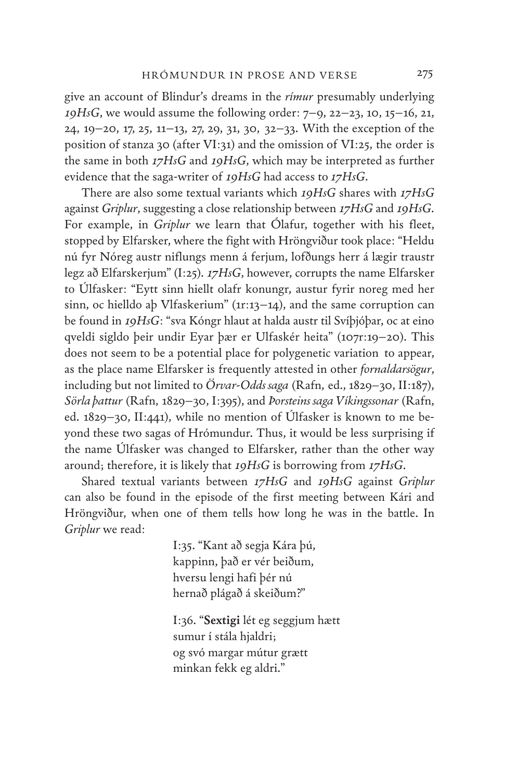give an account of Blindur's dreams in the *rímur* presumably underlying *19HsG*, we would assume the following order: 7–9, 22–23, 10, 15–16, 21, 24, 19–20, 17, 25, 11–13, 27, 29, 31, 30, 32–33. With the exception of the position of stanza 30 (after VI:31) and the omission of VI:25, the order is the same in both *17HsG* and *19HsG*, which may be interpreted as further evidence that the saga-writer of *19HsG* had access to *17HsG*.

There are also some textual variants which *19HsG* shares with *17HsG* against *Griplur*, suggesting a close relationship between *17HsG* and *19HsG*. For example, in *Griplur* we learn that Ólafur, together with his fleet, stopped by Elfarsker, where the fight with Hröngviður took place: "Heldu nú fyr Nóreg austr niflungs menn á ferjum, lofðungs herr á lægir traustr legz að Elfarskerjum" (I:25). *17HsG*, however, corrupts the name Elfarsker to Úlfasker: "Eytt sinn hiellt olafr konungr, austur fyrir noreg med her sinn, oc hielldo aþ Vlfaskerium" (1r:13–14), and the same corruption can be found in *19HsG*: "sva Kóngr hlaut at halda austr til Svíþjóþar, oc at eino qveldi sigldo þeir undir Eyar þær er Ulfaskér heita" (107r:19–20). This does not seem to be a potential place for polygenetic variation to appear, as the place name Elfarsker is frequently attested in other *fornaldarsögur*, including but not limited to *Örvar-Odds saga* (Rafn, ed., 1829–30, II:187), *Sörla þattur* (Rafn, 1829–30, I:395), and *Þorsteins saga Víkingssonar* (Rafn, ed. 1829–30, II:441), while no mention of Úlfasker is known to me beyond these two sagas of Hrómundur. Thus, it would be less surprising if the name Úlfasker was changed to Elfarsker, rather than the other way around; therefore, it is likely that *19HsG* is borrowing from *17HsG*.

Shared textual variants between *17HsG* and *19HsG* against *Griplur* can also be found in the episode of the first meeting between Kári and Hröngviður, when one of them tells how long he was in the battle. In *Griplur* we read:

> I:35. "Kant að segja Kára þú, kappinn, það er vér beiðum, hversu lengi hafi þér nú hernað plágað á skeiðum?"

I:36. "**Sextigi** lét eg seggjum hætt sumur í stála hjaldri; og svó margar mútur grætt minkan fekk eg aldri."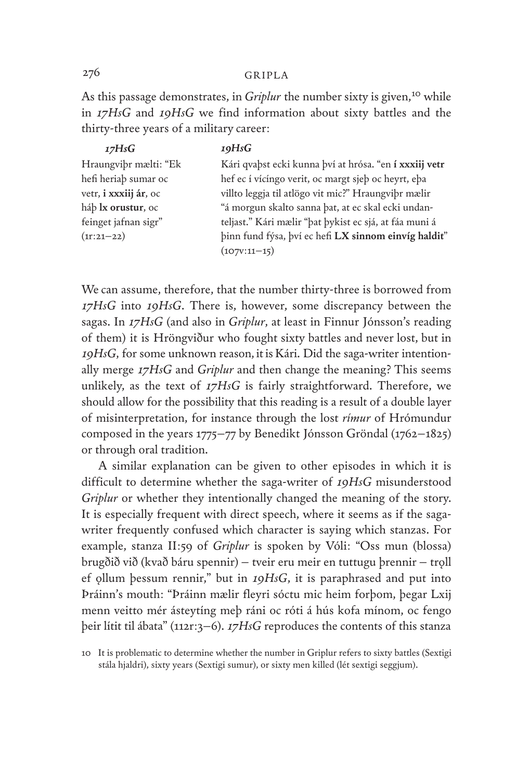As this passage demonstrates, in *Griplur* the number sixty is given,<sup>10</sup> while in *17HsG* and *19HsG* we find information about sixty battles and the thirty-three years of a military career:

| 17HsG                         | 19HsG                                                  |
|-------------------------------|--------------------------------------------------------|
| Hraungviþr mælti: "Ek         | Kári qvaþst ecki kunna því at hrósa. "en í xxxiij vetr |
| hefi heriaþ sumar oc          | hef ec í vícíngo verit, oc margt sjeþ oc heyrt, eþa    |
| vetr, <b>i xxxiij ár</b> , oc | villto leggja til atlögo vit mic?" Hraungvibr mælir    |
| háþ <b>lx orustur</b> , oc    | "á morgun skalto sanna þat, at ec skal ecki undan-     |
| feinget jafnan sigr"          | teljast." Kári mælir "þat þykist ec sjá, at fáa muni á |
| $(11:21-22)$                  | binn fund fýsa, því ec hefi LX sinnom einvíg haldit"   |
|                               | $(107V:11-15)$                                         |
|                               |                                                        |

We can assume, therefore, that the number thirty-three is borrowed from *17HsG* into *19HsG*. There is, however, some discrepancy between the sagas. In *17HsG* (and also in *Griplur*, at least in Finnur Jónsson's reading of them) it is Hröngviður who fought sixty battles and never lost, but in *19HsG*, for some unknown reason, it is Kári. Did the saga-writer intentionally merge *17HsG* and *Griplur* and then change the meaning? This seems unlikely, as the text of *17HsG* is fairly straightforward. Therefore, we should allow for the possibility that this reading is a result of a double layer of misinterpretation, for instance through the lost *rímur* of Hrómundur composed in the years 1775–77 by Benedikt Jónsson Gröndal (1762–1825) or through oral tradition.

A similar explanation can be given to other episodes in which it is difficult to determine whether the saga-writer of *19HsG* misunderstood *Griplur* or whether they intentionally changed the meaning of the story. It is especially frequent with direct speech, where it seems as if the sagawriter frequently confused which character is saying which stanzas. For example, stanza II:59 of *Griplur* is spoken by Vóli: "Oss mun (blossa) brugðið við (kvað báru spennir) – tveir eru meir en tuttugu þrennir – troll ef ǫllum þessum rennir," but in *19HsG*, it is paraphrased and put into Þráinn's mouth: "Þráinn mælir fleyri sóctu mic heim forþom, þegar Lxij menn veitto mér ásteytíng meþ ráni oc róti á hús kofa mínom, oc fengo þeir lítit til ábata" (112r:3–6). *17HsG* reproduces the contents of this stanza

<sup>10</sup> It is problematic to determine whether the number in Griplur refers to sixty battles (Sextigi stála hjaldri), sixty years (Sextigi sumur), or sixty men killed (lét sextigi seggjum).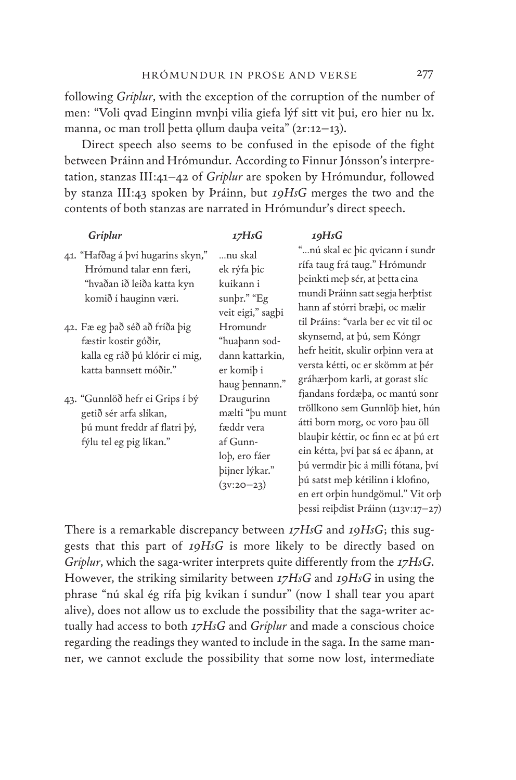following *Griplur*, with the exception of the corruption of the number of men: "Voli qvad Einginn mvnþi vilia giefa lýf sitt vit þui, ero hier nu lx. manna, oc man troll þetta ollum dauþa veita" (21:12–13).

Direct speech also seems to be confused in the episode of the fight between Þráinn and Hrómundur. According to Finnur Jónsson's interpretation, stanzas III:41–42 of *Griplur* are spoken by Hrómundur, followed by stanza III:43 spoken by Þráinn, but *19HsG* merges the two and the contents of both stanzas are narrated in Hrómundur's direct speech.

| Griplur                                                                                                              | 17HsG                                                                                                     | 19HsG                                                                                                                                                                                                                                                                                                                                   |
|----------------------------------------------------------------------------------------------------------------------|-----------------------------------------------------------------------------------------------------------|-----------------------------------------------------------------------------------------------------------------------------------------------------------------------------------------------------------------------------------------------------------------------------------------------------------------------------------------|
| 41. "Hafðag á því hugarins skyn,"<br>Hrómund talar enn færi,<br>"hvaðan ið leiða katta kyn<br>komið í hauginn væri.  | …nu skal<br>ek rýfa þic<br>kuikann i<br>sunbr." "Eg<br>veit eigi," sagbi                                  | "nú skal ec þic qvicann í sundr<br>rífa taug frá taug." Hrómundr<br>þeinkti meþ sér, at þetta eina<br>mundi Þráinn satt segja herþtist<br>hann af stórri bræþi, oc mælir                                                                                                                                                                |
| 42. Fæ eg það séð að fríða þig<br>fæstir kostir góðir,<br>kalla eg ráð þú klórir ei mig,<br>katta bannsett móðir."   | Hromundr<br>"huaþann sod-<br>dann kattarkin,<br>er komiþ i<br>haug bennann."                              | til Þráins: "varla ber ec vit til oc<br>skynsemd, at þú, sem Kóngr<br>hefr heitit, skulir orbinn vera at<br>versta kétti, oc er skömm at þér<br>gráhærþom karli, at gorast slíc                                                                                                                                                         |
| 43. "Gunnlöð hefr ei Grips í bý<br>getið sér arfa slíkan,<br>þú munt freddr af flatri þý,<br>fýlu tel eg pig líkan." | Draugurinn<br>mælti "þu munt<br>fæddr vera<br>af Gunn-<br>loþ, ero fáer<br>bijner lýkar."<br>$(3V:2O-23)$ | fjandans fordæþa, oc mantú sonr<br>tröllkono sem Gunnlöþ hiet, hún<br>átti born morg, oc voro þau öll<br>blauþir kéttir, oc finn ec at þú ert<br>ein kétta, því þat sá ec áþann, at<br>þú vermdir þic á milli fótana, því<br>þú satst meþ kétilinn í klofino,<br>en ert orþin hundgömul." Vit orþ<br>bessi reibdist Þráinn (113v:17–27) |

There is a remarkable discrepancy between *17HsG* and *19HsG*; this suggests that this part of *19HsG* is more likely to be directly based on *Griplur*, which the saga-writer interprets quite differently from the *17HsG*. However, the striking similarity between *17HsG* and *19HsG* in using the phrase "nú skal ég rífa þig kvikan í sundur" (now I shall tear you apart alive), does not allow us to exclude the possibility that the saga-writer actually had access to both *17HsG* and *Griplur* and made a conscious choice regarding the readings they wanted to include in the saga. In the same manner, we cannot exclude the possibility that some now lost, intermediate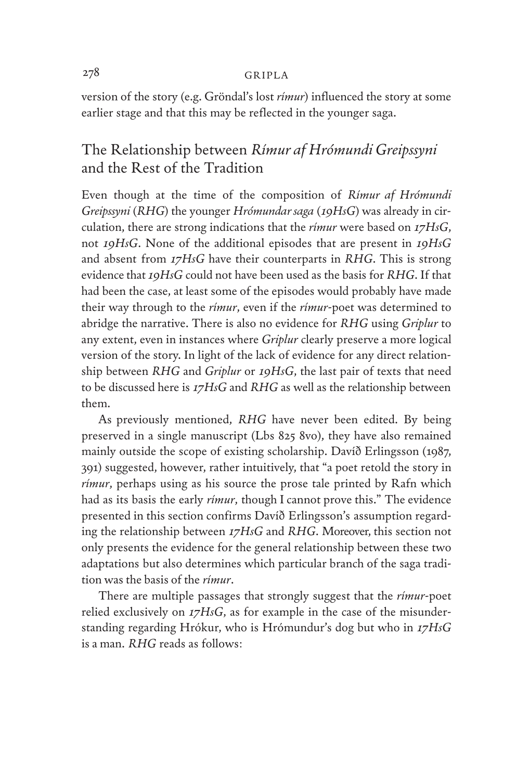version of the story (e.g. Gröndal's lost *rímur*) influenced the story at some earlier stage and that this may be reflected in the younger saga.

# The Relationship between *Rímur af Hrómundi Greipssyni*  and the Rest of the Tradition

Even though at the time of the composition of *Rímur af Hrómundi Greipssyni* (*RHG*) the younger *Hrómundar saga* (*19HsG*) was already in circulation, there are strong indications that the *rímur* were based on *17HsG*, not *19HsG*. None of the additional episodes that are present in *19HsG* and absent from *17HsG* have their counterparts in *RHG*. This is strong evidence that *19HsG* could not have been used as the basis for *RHG*. If that had been the case, at least some of the episodes would probably have made their way through to the *rímur*, even if the *rímur*-poet was determined to abridge the narrative. There is also no evidence for *RHG* using *Griplur* to any extent, even in instances where *Griplur* clearly preserve a more logical version of the story. In light of the lack of evidence for any direct relationship between *RHG* and *Griplur* or *19HsG*, the last pair of texts that need to be discussed here is *17HsG* and *RHG* as well as the relationship between them.

As previously mentioned, *RHG* have never been edited. By being preserved in a single manuscript (Lbs 825 8vo), they have also remained mainly outside the scope of existing scholarship. Davíð Erlingsson (1987, 391) suggested, however, rather intuitively, that "a poet retold the story in *rímur*, perhaps using as his source the prose tale printed by Rafn which had as its basis the early *rímur*, though I cannot prove this." The evidence presented in this section confirms Davíð Erlingsson's assumption regarding the relationship between *17HsG* and *RHG*. Moreover, this section not only presents the evidence for the general relationship between these two adaptations but also determines which particular branch of the saga tradition was the basis of the *rímur*.

There are multiple passages that strongly suggest that the *rímur*-poet relied exclusively on *17HsG*, as for example in the case of the misunderstanding regarding Hrókur, who is Hrómundur's dog but who in *17HsG* is a man. *RHG* reads as follows: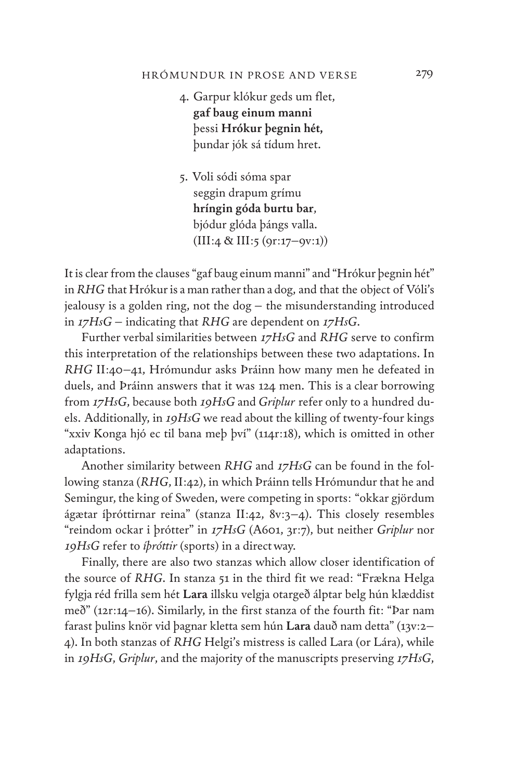#### HRÓMUNDUR IN PROSE AND VERSE

- 4. Garpur klókur geds um flet, **gaf baug einum manni** þessi **Hrókur þegnin hét,** þundar jók sá tídum hret.
- 5. Voli sódi sóma spar seggin drapum grímu **hríngin góda burtu bar**, bjódur glóda þángs valla.  $(III:4 \& III:5 (9r:17-9v:1))$

It is clear from the clauses "gaf baug einum manni" and "Hrókur þegnin hét" in *RHG* that Hrókur is a man rather than a dog, and that the object of Vóli's jealousy is a golden ring, not the dog – the misunderstanding introduced in *17HsG* – indicating that *RHG* are dependent on *17HsG*.

Further verbal similarities between *17HsG* and *RHG* serve to confirm this interpretation of the relationships between these two adaptations. In *RHG* II:40–41, Hrómundur asks Þráinn how many men he defeated in duels, and Þráinn answers that it was 124 men. This is a clear borrowing from *17HsG*, because both *19HsG* and *Griplur* refer only to a hundred duels. Additionally, in *19HsG* we read about the killing of twenty-four kings "xxiv Konga hjó ec til bana meþ því" (114r:18), which is omitted in other adaptations.

Another similarity between *RHG* and *17HsG* can be found in the following stanza (*RHG*, II:42), in which Þráinn tells Hrómundur that he and Semingur, the king of Sweden, were competing in sports: "okkar gjördum ágætar íþróttirnar reina" (stanza II:42, 8v:3–4). This closely resembles "reindom ockar i þrótter" in *17HsG* (A601, 3r:7), but neither *Griplur* nor *19HsG* refer to *íþróttir* (sports) in a direct way.

Finally, there are also two stanzas which allow closer identification of the source of *RHG*. In stanza 51 in the third fit we read: "Frækna Helga fylgja réd frilla sem hét **Lara** illsku velgja otargeð álptar belg hún klæddist með" (12r:14–16). Similarly, in the first stanza of the fourth fit: "Þar nam farast þulins knör vid þagnar kletta sem hún **Lara** dauð nam detta" (13v:2– 4). In both stanzas of *RHG* Helgi's mistress is called Lara (or Lára), while in *19HsG*, *Griplur*, and the majority of the manuscripts preserving *17HsG*,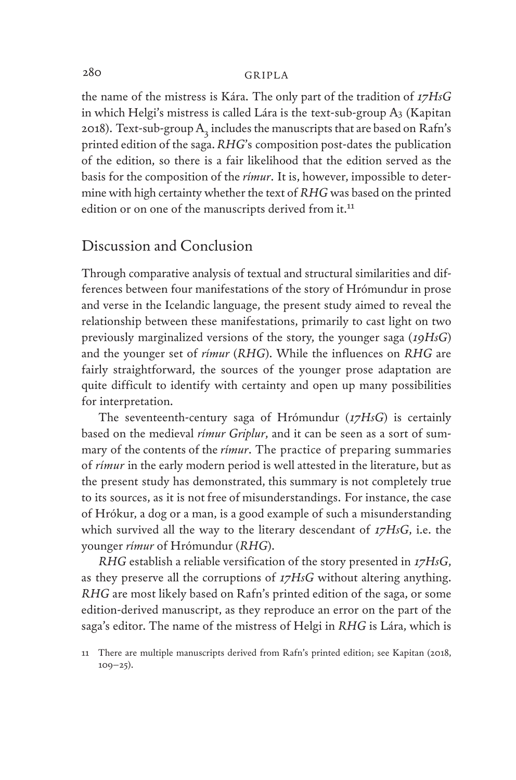the name of the mistress is Kára. The only part of the tradition of *17HsG* in which Helgi's mistress is called Lára is the text-sub-group  $A_3$  (Kapitan 2018). Text-sub-group  $A_2$  includes the manuscripts that are based on Rafn's printed edition of the saga. *RHG*'s composition post-dates the publication of the edition, so there is a fair likelihood that the edition served as the basis for the composition of the *rímur*. It is, however, impossible to determine with high certainty whether the text of *RHG* was based on the printed edition or on one of the manuscripts derived from it.<sup>11</sup>

## Discussion and Conclusion

Through comparative analysis of textual and structural similarities and differences between four manifestations of the story of Hrómundur in prose and verse in the Icelandic language, the present study aimed to reveal the relationship between these manifestations, primarily to cast light on two previously marginalized versions of the story, the younger saga (*19HsG*) and the younger set of *rímur* (*RHG*). While the influences on *RHG* are fairly straightforward, the sources of the younger prose adaptation are quite difficult to identify with certainty and open up many possibilities for interpretation.

The seventeenth-century saga of Hrómundur (*17HsG*) is certainly based on the medieval *rímur Griplur*, and it can be seen as a sort of summary of the contents of the *rímur*. The practice of preparing summaries of *rímur* in the early modern period is well attested in the literature, but as the present study has demonstrated, this summary is not completely true to its sources, as it is not free of misunderstandings. For instance, the case of Hrókur, a dog or a man, is a good example of such a misunderstanding which survived all the way to the literary descendant of *17HsG*, i.e. the younger *rímur* of Hrómundur (*RHG*).

*RHG* establish a reliable versification of the story presented in *17HsG*, as they preserve all the corruptions of *17HsG* without altering anything. *RHG* are most likely based on Rafn's printed edition of the saga, or some edition-derived manuscript, as they reproduce an error on the part of the saga's editor. The name of the mistress of Helgi in *RHG* is Lára, which is

<sup>11</sup> There are multiple manuscripts derived from Rafn's printed edition; see Kapitan (2018,  $109 - 25$ ).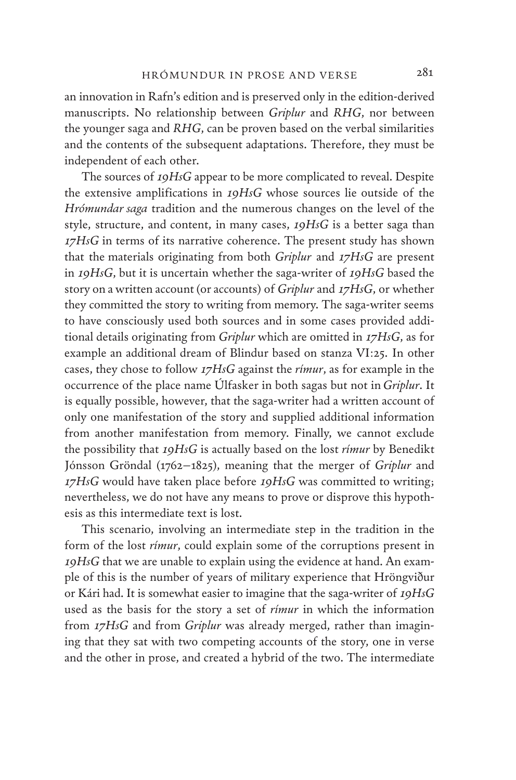an innovation in Rafn's edition and is preserved only in the edition-derived manuscripts. No relationship between *Griplur* and *RHG*, nor between the younger saga and *RHG*, can be proven based on the verbal similarities and the contents of the subsequent adaptations. Therefore, they must be independent of each other.

The sources of *19HsG* appear to be more complicated to reveal. Despite the extensive amplifications in *19HsG* whose sources lie outside of the *Hrómundar saga* tradition and the numerous changes on the level of the style, structure, and content, in many cases, *19HsG* is a better saga than *17HsG* in terms of its narrative coherence. The present study has shown that the materials originating from both *Griplur* and *17HsG* are present in *19HsG*, but it is uncertain whether the saga-writer of *19HsG* based the story on a written account (or accounts) of *Griplur* and *17HsG*, or whether they committed the story to writing from memory. The saga-writer seems to have consciously used both sources and in some cases provided additional details originating from *Griplur* which are omitted in *17HsG*, as for example an additional dream of Blindur based on stanza VI:25. In other cases, they chose to follow *17HsG* against the *rímur*, as for example in the occurrence of the place name Úlfasker in both sagas but not in *Griplur*. It is equally possible, however, that the saga-writer had a written account of only one manifestation of the story and supplied additional information from another manifestation from memory. Finally, we cannot exclude the possibility that *19HsG* is actually based on the lost *rímur* by Benedikt Jónsson Gröndal (1762–1825), meaning that the merger of *Griplur* and *17HsG* would have taken place before *19HsG* was committed to writing; nevertheless, we do not have any means to prove or disprove this hypothesis as this intermediate text is lost.

This scenario, involving an intermediate step in the tradition in the form of the lost *rímur*, could explain some of the corruptions present in *19HsG* that we are unable to explain using the evidence at hand. An example of this is the number of years of military experience that Hröngviður or Kári had. It is somewhat easier to imagine that the saga-writer of *19HsG* used as the basis for the story a set of *rímur* in which the information from *17HsG* and from *Griplur* was already merged, rather than imagining that they sat with two competing accounts of the story, one in verse and the other in prose, and created a hybrid of the two. The intermediate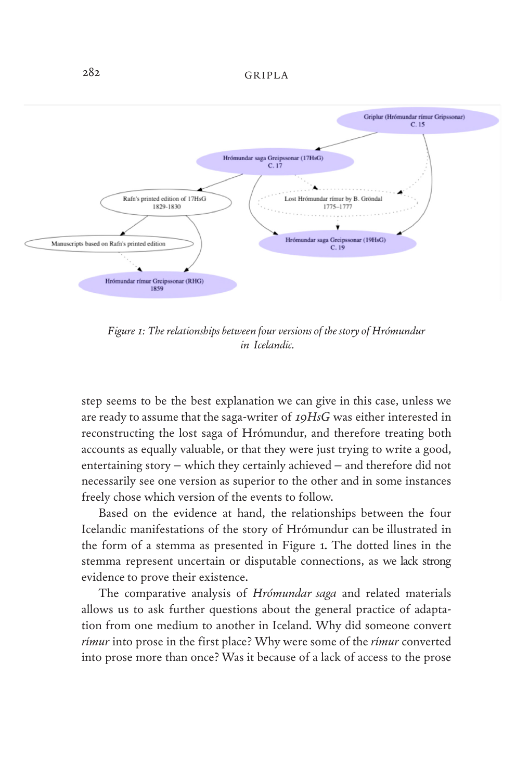

*Figure 1: The relationships between four versions of the story of Hrómundur in Icelandic.*

step seems to be the best explanation we can give in this case, unless we are ready to assume that the saga-writer of *19HsG* was either interested in reconstructing the lost saga of Hrómundur, and therefore treating both accounts as equally valuable, or that they were just trying to write a good, entertaining story – which they certainly achieved – and therefore did not necessarily see one version as superior to the other and in some instances freely chose which version of the events to follow.

Based on the evidence at hand, the relationships between the four Icelandic manifestations of the story of Hrómundur can be illustrated in the form of a stemma as presented in Figure 1. The dotted lines in the stemma represent uncertain or disputable connections, as we lack strong evidence to prove their existence.

The comparative analysis of *Hrómundar saga* and related materials allows us to ask further questions about the general practice of adaptation from one medium to another in Iceland. Why did someone convert *rímur* into prose in the first place? Why were some of the *rímur* converted into prose more than once? Was it because of a lack of access to the prose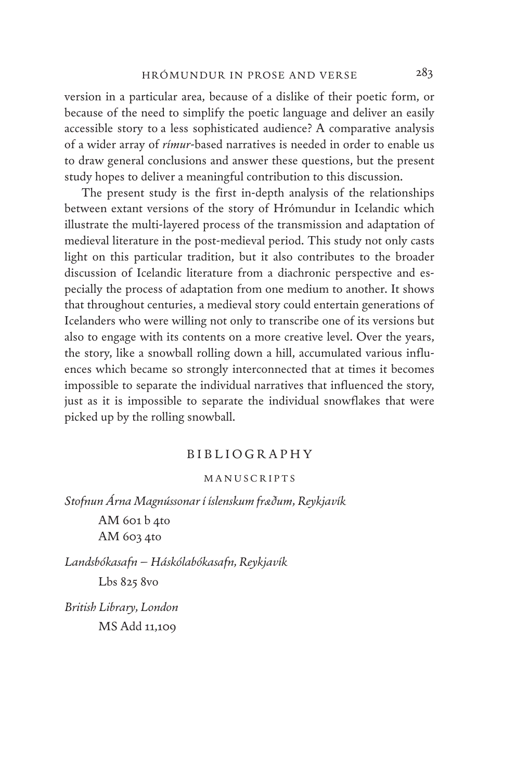version in a particular area, because of a dislike of their poetic form, or because of the need to simplify the poetic language and deliver an easily accessible story to a less sophisticated audience? A comparative analysis of a wider array of *rímur*-based narratives is needed in order to enable us to draw general conclusions and answer these questions, but the present study hopes to deliver a meaningful contribution to this discussion.

The present study is the first in-depth analysis of the relationships between extant versions of the story of Hrómundur in Icelandic which illustrate the multi-layered process of the transmission and adaptation of medieval literature in the post-medieval period. This study not only casts light on this particular tradition, but it also contributes to the broader discussion of Icelandic literature from a diachronic perspective and especially the process of adaptation from one medium to another. It shows that throughout centuries, a medieval story could entertain generations of Icelanders who were willing not only to transcribe one of its versions but also to engage with its contents on a more creative level. Over the years, the story, like a snowball rolling down a hill, accumulated various influences which became so strongly interconnected that at times it becomes impossible to separate the individual narratives that influenced the story, just as it is impossible to separate the individual snowflakes that were picked up by the rolling snowball.

## BIBLIOGRAPHY

## MANUSCRIPTS

*Stofnun Árna Magnússonar í íslenskum fræðum, Reykjavík*

AM 601 b 4to AM 603 4to

*Landsbókasafn – Háskólabókasafn, Reykjavík* Lbs 825 8vo

*British Library, London* MS Add 11,109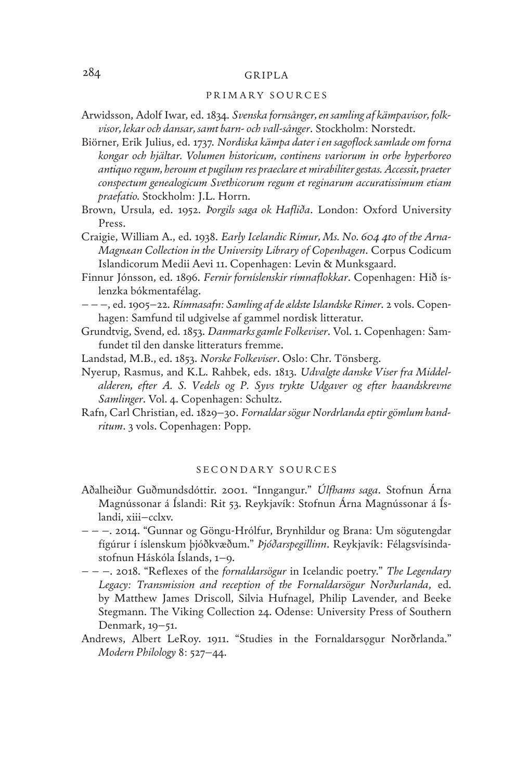### PRIMARY SOURCES

- Arwidsson, Adolf Iwar, ed. 1834. *Svenska fornsånger, en samling af kämpavisor, folkvisor, lekar och dansar, samt barn- och vall-sånger*. Stockholm: Norstedt.
- Biörner, Erik Julius, ed. 1737. *Nordiska kämpa dater i en sagoflock samlade om forna kongar och hjältar. Volumen historicum, continens variorum in orbe hyperboreo antiquo regum, heroum et pugilum res praeclare et mirabiliter gestas. Accessit, praeter conspectum genealogicum Svethicorum regum et reginarum accuratissimum etiam praefatio.* Stockholm: J.L. Horrn.
- Brown, Ursula, ed. 1952. *Þorgils saga ok Hafliða*. London: Oxford University Press.
- Craigie, William A., ed. 1938. *Early Icelandic Rímur, Ms. No. 604 4to of the Arna-Magnæan Collection in the University Library of Copenhagen*. Corpus Codicum Islandicorum Medii Aevi 11. Copenhagen: Levin & Munksgaard.
- Finnur Jónsson, ed. 1896. *Fernir forníslenskir rímnaflokkar*. Copenhagen: Hið íslenzka bókmentafélag.
- – –, ed. 1905–22. *Rímnasafn: Samling af de ældste Islandske Rimer*. 2 vols. Copenhagen: Samfund til udgivelse af gammel nordisk litteratur.
- Grundtvig, Svend, ed. 1853. *Danmarks gamle Folkeviser*. Vol. 1. Copenhagen: Samfundet til den danske litteraturs fremme.
- Landstad, M.B., ed. 1853. *Norske Folkeviser*. Oslo: Chr. Tönsberg.
- Nyerup, Rasmus, and K.L. Rahbek, eds. 1813. *Udvalgte danske Viser fra Middelalderen, efter A. S. Vedels og P. Syvs trykte Udgaver og efter haandskrevne Samlinger*. Vol. 4. Copenhagen: Schultz.
- Rafn, Carl Christian, ed. 1829–30. *Fornaldar sögur Nordrlanda eptir gömlum handritum*. 3 vols. Copenhagen: Popp.

#### SECONDARY SOURCES

- Aðalheiður Guðmundsdóttir. 2001. "Inngangur." *Úlfhams saga*. Stofnun Árna Magnússonar á Íslandi: Rit 53. Reykjavík: Stofnun Árna Magnússonar á Íslandi, xiii–cclxv.
- – –. 2014. "Gunnar og Göngu-Hrólfur, Brynhildur og Brana: Um sögutengdar fígúrur í íslenskum þjóðkvæðum." *Þjóðarspegillinn*. Reykjavík: Félagsvísindastofnun Háskóla Íslands, 1–9.
- – –. 2018. "Reflexes of the *fornaldarsögur* in Icelandic poetry." *The Legendary Legacy: Transmission and reception of the Fornaldarsögur Norðurlanda*, ed. by Matthew James Driscoll, Silvia Hufnagel, Philip Lavender, and Beeke Stegmann. The Viking Collection 24. Odense: University Press of Southern Denmark, 19–51.
- Andrews, Albert LeRoy. 1911. "Studies in the Fornaldarsogur Norðrlanda." *Modern Philology* 8: 527–44.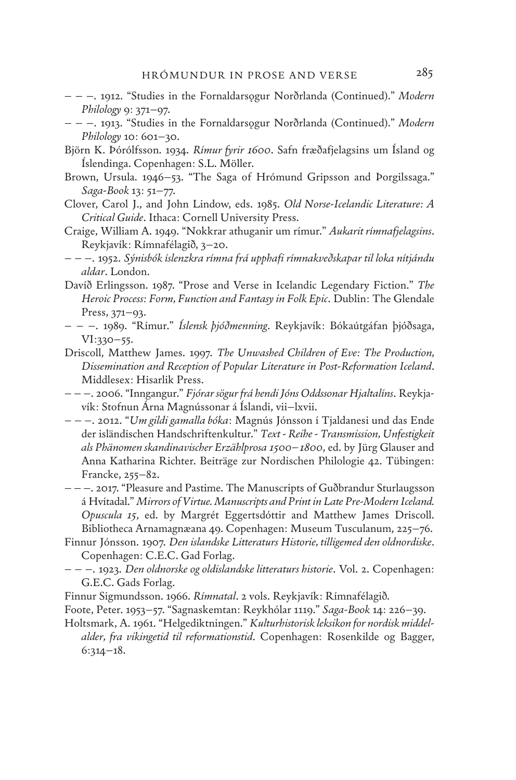- – –. 1912. "Studies in the Fornaldarsǫgur Norðrlanda (Continued)." *Modern Philology* 9: 371–97.
- – –. 1913. "Studies in the Fornaldarsǫgur Norðrlanda (Continued)." *Modern Philology* 10: 601–30.
- Björn K. Þórólfsson. 1934. *Rímur fyrir 1600*. Safn fræðafjelagsins um Ísland og Íslendinga. Copenhagen: S.L. Möller.
- Brown, Ursula. 1946–53. "The Saga of Hrómund Gripsson and Þorgilssaga." *Saga-Book* 13: 51–77.
- Clover, Carol J., and John Lindow, eds. 1985. *Old Norse-Icelandic Literature: A Critical Guide*. Ithaca: Cornell University Press.
- Craige, William A. 1949. "Nokkrar athuganir um rímur." *Aukarit rímnafjelagsins*. Reykjavík: Rímnafélagið, 3–20.
- – –. 1952. *Sýnisbók íslenzkra rímna frá upphafi rímnakveðskapar til loka nítjándu aldar*. London.
- Davíð Erlingsson. 1987. "Prose and Verse in Icelandic Legendary Fiction." *The Heroic Process: Form, Function and Fantasy in Folk Epic*. Dublin: The Glendale Press, 371–93.
- – –. 1989. "Rímur." *Íslensk þjóðmenning*. Reykjavík: Bókaútgáfan þjóðsaga, VI:330–55.
- Driscoll, Matthew James. 1997. *The Unwashed Children of Eve: The Production, Dissemination and Reception of Popular Literature in Post-Reformation Iceland*. Middlesex: Hisarlik Press.
- – –. 2006. "Inngangur." *Fjórar sögur frá hendi Jóns Oddssonar Hjaltalíns*. Reykjavík: Stofnun Árna Magnússonar á Íslandi, vii–lxvii.
- – –. 2012. "*Um gildi gamalla bóka*: Magnús Jónsson í Tjaldanesi und das Ende der isländischen Handschriftenkultur." *Text - Reihe - Transmission, Unfestigkeit als Phänomen skandinavischer Erzählprosa 1500–1800*, ed. by Jürg Glauser and Anna Katharina Richter. Beiträge zur Nordischen Philologie 42. Tübingen: Francke, 255–82.
- – –. 2017. "Pleasure and Pastime. The Manuscripts of Guðbrandur Sturlaugsson á Hvítadal." *Mirrors of Virtue. Manuscripts and Print in Late Pre-Modern Iceland. Opuscula 15*, ed. by Margrét Eggertsdóttir and Matthew James Driscoll. Bibliotheca Arnamagnæana 49. Copenhagen: Museum Tusculanum, 225–76.
- Finnur Jónsson. 1907. *Den islandske Litteraturs Historie, tilligemed den oldnordiske*. Copenhagen: C.E.C. Gad Forlag.
- – –. 1923. *Den oldnorske og oldislandske litteraturs historie*. Vol. 2. Copenhagen: G.E.C. Gads Forlag.
- Finnur Sigmundsson. 1966. *Rímnatal*. 2 vols. Reykjavík: Rímnafélagið.
- Foote, Peter. 1953–57. "Sagnaskemtan: Reykhólar 1119." *Saga-Book* 14: 226–39.
- Holtsmark, A. 1961. "Helgediktningen." *Kulturhistorisk leksikon for nordisk middelalder, fra vikingetid til reformationstid*. Copenhagen: Rosenkilde og Bagger, 6:314–18.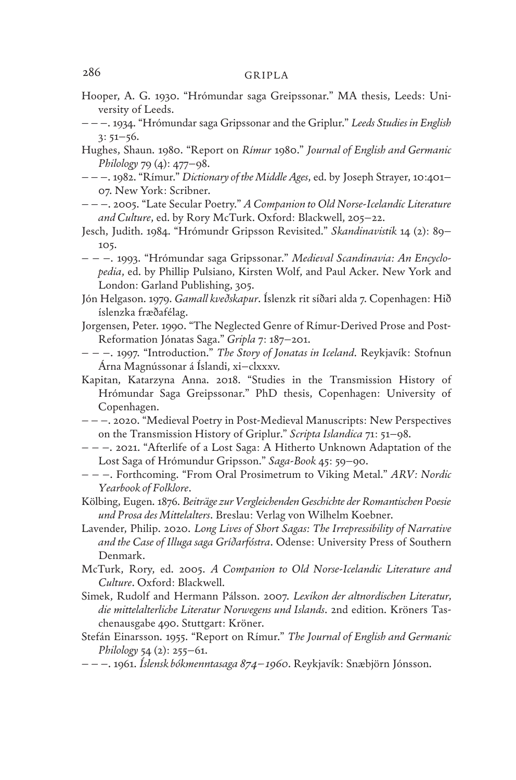- Hooper, A. G. 1930. "Hrómundar saga Greipssonar." MA thesis, Leeds: University of Leeds.
- – –. 1934. "Hrómundar saga Gripssonar and the Griplur." *Leeds Studies in English* 3: 51–56.
- Hughes, Shaun. 1980. "Report on *Rímur* 1980." *Journal of English and Germanic Philology* 79 (4): 477–98.
- – –. 1982. "Rímur." *Dictionary of the Middle Ages*, ed. by Joseph Strayer, 10:401– 07. New York: Scribner.
- – –. 2005. "Late Secular Poetry." *A Companion to Old Norse-Icelandic Literature and Culture*, ed. by Rory McTurk. Oxford: Blackwell, 205–22.
- Jesch, Judith. 1984. "Hrómundr Gripsson Revisited." *Skandinavistik* 14 (2): 89– 105.
- – –. 1993. "Hrómundar saga Gripssonar." *Medieval Scandinavia: An Encyclopedia*, ed. by Phillip Pulsiano, Kirsten Wolf, and Paul Acker. New York and London: Garland Publishing, 305.
- Jón Helgason. 1979. *Gamall kveðskapur*. Íslenzk rit síðari alda 7. Copenhagen: Hið íslenzka fræðafélag.
- Jorgensen, Peter. 1990. "The Neglected Genre of Rímur-Derived Prose and Post-Reformation Jónatas Saga." *Gripla* 7: 187–201.
- – –. 1997. "Introduction." *The Story of Jonatas in Iceland*. Reykjavík: Stofnun Árna Magnússonar á Íslandi, xi–clxxxv.
- Kapitan, Katarzyna Anna. 2018. "Studies in the Transmission History of Hrómundar Saga Greipssonar." PhD thesis, Copenhagen: University of Copenhagen.
- – –. 2020. "Medieval Poetry in Post-Medieval Manuscripts: New Perspectives on the Transmission History of Griplur." *Scripta Islandica* 71: 51–98.
- – –. 2021. "Afterlife of a Lost Saga: A Hitherto Unknown Adaptation of the Lost Saga of Hrómundur Gripsson." *Saga-Book* 45: 59–90.
- – –. Forthcoming. "From Oral Prosimetrum to Viking Metal." *ARV: Nordic Yearbook of Folklore*.
- Kölbing, Eugen. 1876. *Beiträge zur Vergleichenden Geschichte der Romantischen Poesie und Prosa des Mittelalters*. Breslau: Verlag von Wilhelm Koebner.
- Lavender, Philip. 2020. *Long Lives of Short Sagas: The Irrepressibility of Narrative and the Case of Illuga saga Gríðarfóstra*. Odense: University Press of Southern Denmark.
- McTurk, Rory, ed. 2005. *A Companion to Old Norse-Icelandic Literature and Culture*. Oxford: Blackwell.
- Simek, Rudolf and Hermann Pálsson. 2007. *Lexikon der altnordischen Literatur, die mittelalterliche Literatur Norwegens und Islands*. 2nd edition. Kröners Taschenausgabe 490. Stuttgart: Kröner.
- Stefán Einarsson. 1955. "Report on Rímur." *The Journal of English and Germanic Philology* 54 (2): 255–61.
- – –. 1961. *Íslensk bókmenntasaga 874–1960*. Reykjavík: Snæbjörn Jónsson.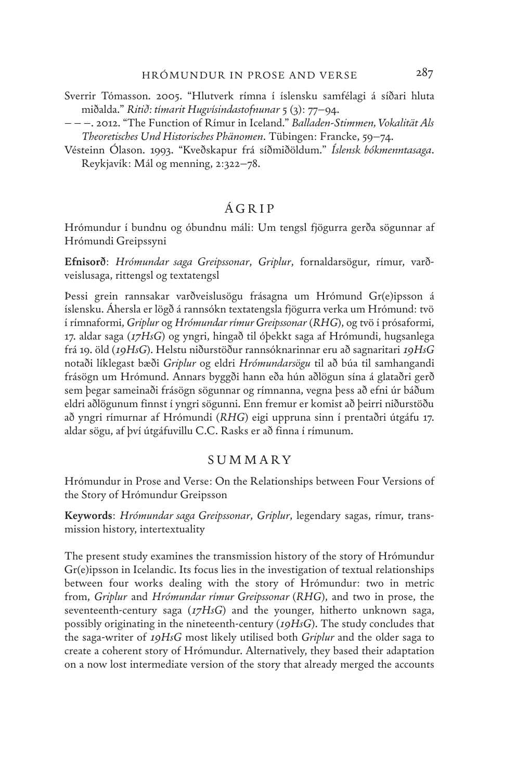- Sverrir Tómasson. 2005. "Hlutverk rímna í íslensku samfélagi á síðari hluta miðalda." *Ritið: tímarit Hugvísindastofnunar* 5 (3): 77–94.
- – –. 2012. "The Function of Rímur in Iceland." *Balladen-Stimmen, Vokalität Als Theoretisches Und Historisches Phänomen*. Tübingen: Francke, 59–74.
- Vésteinn Ólason. 1993. "Kveðskapur frá síðmiðöldum." *Íslensk bókmenntasaga*. Reykjavík: Mál og menning, 2:322–78.

## ÁGRIP

Hrómundur í bundnu og óbundnu máli: Um tengsl fjögurra gerða sögunnar af Hrómundi Greipssyni

**Efnisorð**: *Hrómundar saga Greipssonar*, *Griplur*, fornaldarsögur, rímur, varðveislusaga, rittengsl og textatengsl

Þessi grein rannsakar varðveislusögu frásagna um Hrómund Gr(e)ipsson á íslensku. Áhersla er lögð á rannsókn textatengsla fjögurra verka um Hrómund: tvö í rímnaformi, *Griplur* og *Hrómundar rímur Greipssonar* (*RHG*), og tvö í prósaformi, 17. aldar saga (*17HsG*) og yngri, hingað til óþekkt saga af Hrómundi, hugsanlega frá 19. öld (*19HsG*). Helstu niðurstöður rannsóknarinnar eru að sagnaritari *19HsG*  notaði líklegast bæði *Griplur* og eldri *Hrómundarsögu* til að búa til samhangandi frásögn um Hrómund. Annars byggði hann eða hún aðlögun sína á glataðri gerð sem þegar sameinaði frásögn sögunnar og rímnanna, vegna þess að efni úr báðum eldri aðlögunum finnst í yngri sögunni. Enn fremur er komist að þeirri niðurstöðu að yngri rímurnar af Hrómundi (*RHG*) eigi uppruna sinn í prentaðri útgáfu 17. aldar sögu, af því útgáfuvillu C.C. Rasks er að finna í rímunum.

### SUMMARY

Hrómundur in Prose and Verse: On the Relationships between Four Versions of the Story of Hrómundur Greipsson

**Keywords**: *Hrómundar saga Greipssonar*, *Griplur*, legendary sagas, rímur, transmission history, intertextuality

The present study examines the transmission history of the story of Hrómundur Gr(e)ipsson in Icelandic. Its focus lies in the investigation of textual relationships between four works dealing with the story of Hrómundur: two in metric from, *Griplur* and *Hrómundar rímur Greipssonar* (*RHG*), and two in prose, the seventeenth-century saga (*17HsG*) and the younger, hitherto unknown saga, possibly originating in the nineteenth-century (*19HsG*). The study concludes that the saga-writer of *19HsG* most likely utilised both *Griplur* and the older saga to create a coherent story of Hrómundur. Alternatively, they based their adaptation on a now lost intermediate version of the story that already merged the accounts